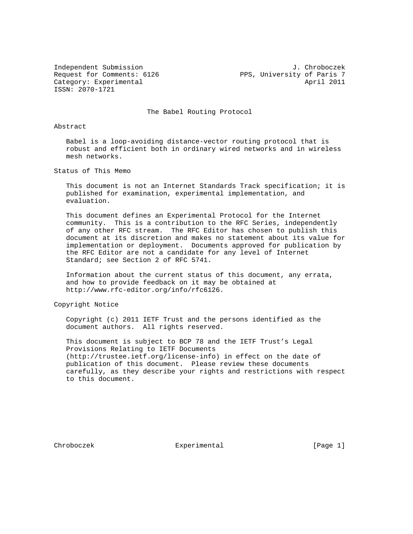ISSN: 2070-1721

Independent Submission J. Chroboczek POS, University of Paris 7<br>Request for Comments: 6126 PPS, University of Paris 7 Category: Experimental April 2011

The Babel Routing Protocol

## Abstract

 Babel is a loop-avoiding distance-vector routing protocol that is robust and efficient both in ordinary wired networks and in wireless mesh networks.

Status of This Memo

 This document is not an Internet Standards Track specification; it is published for examination, experimental implementation, and evaluation.

 This document defines an Experimental Protocol for the Internet community. This is a contribution to the RFC Series, independently of any other RFC stream. The RFC Editor has chosen to publish this document at its discretion and makes no statement about its value for implementation or deployment. Documents approved for publication by the RFC Editor are not a candidate for any level of Internet Standard; see Section 2 of RFC 5741.

 Information about the current status of this document, any errata, and how to provide feedback on it may be obtained at http://www.rfc-editor.org/info/rfc6126.

Copyright Notice

 Copyright (c) 2011 IETF Trust and the persons identified as the document authors. All rights reserved.

 This document is subject to BCP 78 and the IETF Trust's Legal Provisions Relating to IETF Documents (http://trustee.ietf.org/license-info) in effect on the date of publication of this document. Please review these documents carefully, as they describe your rights and restrictions with respect to this document.

Chroboczek **Experimental** [Page 1]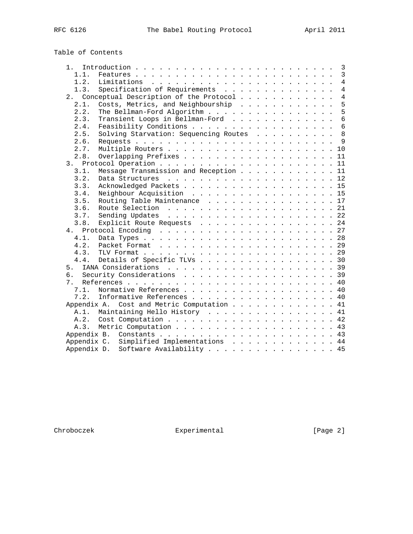# Table of Contents

| 1 <sup>1</sup> |                                            | 3               |
|----------------|--------------------------------------------|-----------------|
| 1.1.           |                                            | 3               |
| 1.2.           |                                            | $\overline{4}$  |
| 1.3.           | Specification of Requirements              | $\overline{4}$  |
| 2.             | Conceptual Description of the Protocol     | $\overline{4}$  |
| 2.1.           | Costs, Metrics, and Neighbourship          | 5               |
| 2.2.           | The Bellman-Ford Algorithm                 | 5               |
| 2.3.           | Transient Loops in Bellman-Ford            | $6\overline{6}$ |
| 2.4.           |                                            | 6               |
| 2.5.           | Solving Starvation: Sequencing Routes      | 8               |
| 2.6.           |                                            | 9               |
| 2.7.           |                                            |                 |
| 2.8.           | Overlapping Prefixes 11                    |                 |
|                |                                            |                 |
| 3.1.           | Message Transmission and Reception 11      |                 |
| 3.2.           |                                            |                 |
| 3.3.           | Acknowledged Packets 15                    |                 |
| 3.4.           | Neighbour Acquisition 15                   |                 |
| 3.5.           | Routing Table Maintenance 17               |                 |
| 3.6.           |                                            | 21              |
| 3.7.           |                                            |                 |
| 3.8.           | Explicit Route Requests 24                 |                 |
| 4.             | Protocol Encoding $\ldots$ , 27            |                 |
| 4.1.           |                                            |                 |
| 4.2.           |                                            |                 |
| 4.3.           |                                            |                 |
| 4.4.           | Details of Specific TLVs 30                |                 |
| 5.             |                                            |                 |
| რ.             |                                            |                 |
| 7.             |                                            |                 |
| 7.1.           | Normative References 40                    |                 |
| 7.2.           | Informative References 40                  |                 |
|                | Appendix A. Cost and Metric Computation 41 |                 |
| A.1.           | Maintaining Hello History 41               |                 |
| A.2.           |                                            |                 |
| A.3.           | Metric Computation 43                      |                 |
|                |                                            |                 |
|                | Appendix C. Simplified Implementations 44  |                 |
|                | Software Availability 45<br>Appendix D.    |                 |
|                |                                            |                 |

Chroboczek Experimental Experimental [Page 2]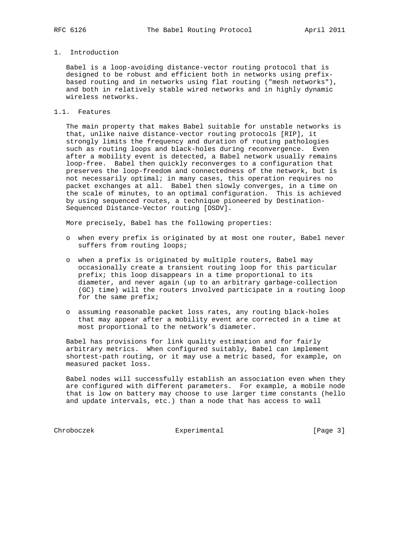# 1. Introduction

 Babel is a loop-avoiding distance-vector routing protocol that is designed to be robust and efficient both in networks using prefix based routing and in networks using flat routing ("mesh networks"), and both in relatively stable wired networks and in highly dynamic wireless networks.

# 1.1. Features

 The main property that makes Babel suitable for unstable networks is that, unlike naive distance-vector routing protocols [RIP], it strongly limits the frequency and duration of routing pathologies such as routing loops and black-holes during reconvergence. Even after a mobility event is detected, a Babel network usually remains loop-free. Babel then quickly reconverges to a configuration that preserves the loop-freedom and connectedness of the network, but is not necessarily optimal; in many cases, this operation requires no packet exchanges at all. Babel then slowly converges, in a time on the scale of minutes, to an optimal configuration. This is achieved by using sequenced routes, a technique pioneered by Destination- Sequenced Distance-Vector routing [DSDV].

More precisely, Babel has the following properties:

- o when every prefix is originated by at most one router, Babel never suffers from routing loops;
- o when a prefix is originated by multiple routers, Babel may occasionally create a transient routing loop for this particular prefix; this loop disappears in a time proportional to its diameter, and never again (up to an arbitrary garbage-collection (GC) time) will the routers involved participate in a routing loop for the same prefix;
- o assuming reasonable packet loss rates, any routing black-holes that may appear after a mobility event are corrected in a time at most proportional to the network's diameter.

 Babel has provisions for link quality estimation and for fairly arbitrary metrics. When configured suitably, Babel can implement shortest-path routing, or it may use a metric based, for example, on measured packet loss.

 Babel nodes will successfully establish an association even when they are configured with different parameters. For example, a mobile node that is low on battery may choose to use larger time constants (hello and update intervals, etc.) than a node that has access to wall

Chroboczek Experimental [Page 3]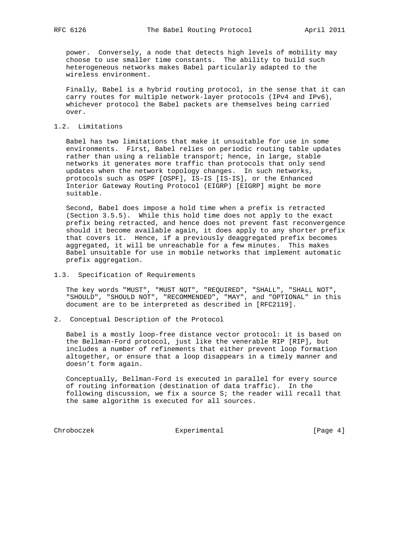power. Conversely, a node that detects high levels of mobility may choose to use smaller time constants. The ability to build such heterogeneous networks makes Babel particularly adapted to the wireless environment.

 Finally, Babel is a hybrid routing protocol, in the sense that it can carry routes for multiple network-layer protocols (IPv4 and IPv6), whichever protocol the Babel packets are themselves being carried over.

#### 1.2. Limitations

 Babel has two limitations that make it unsuitable for use in some environments. First, Babel relies on periodic routing table updates rather than using a reliable transport; hence, in large, stable networks it generates more traffic than protocols that only send updates when the network topology changes. In such networks, protocols such as OSPF [OSPF], IS-IS [IS-IS], or the Enhanced Interior Gateway Routing Protocol (EIGRP) [EIGRP] might be more suitable.

 Second, Babel does impose a hold time when a prefix is retracted (Section 3.5.5). While this hold time does not apply to the exact prefix being retracted, and hence does not prevent fast reconvergence should it become available again, it does apply to any shorter prefix that covers it. Hence, if a previously deaggregated prefix becomes aggregated, it will be unreachable for a few minutes. This makes Babel unsuitable for use in mobile networks that implement automatic prefix aggregation.

#### 1.3. Specification of Requirements

 The key words "MUST", "MUST NOT", "REQUIRED", "SHALL", "SHALL NOT", "SHOULD", "SHOULD NOT", "RECOMMENDED", "MAY", and "OPTIONAL" in this document are to be interpreted as described in [RFC2119].

2. Conceptual Description of the Protocol

 Babel is a mostly loop-free distance vector protocol: it is based on the Bellman-Ford protocol, just like the venerable RIP [RIP], but includes a number of refinements that either prevent loop formation altogether, or ensure that a loop disappears in a timely manner and doesn't form again.

 Conceptually, Bellman-Ford is executed in parallel for every source of routing information (destination of data traffic). In the following discussion, we fix a source S; the reader will recall that the same algorithm is executed for all sources.

Chroboczek Experimental [Page 4]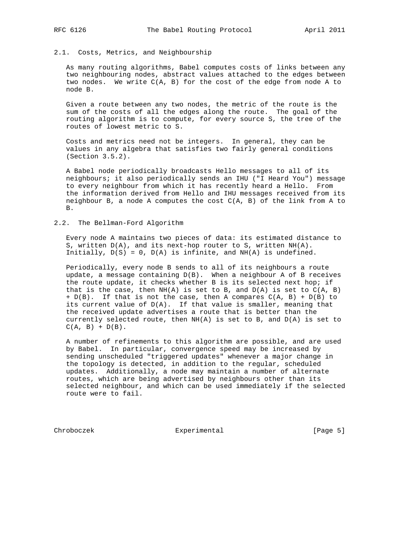# 2.1. Costs, Metrics, and Neighbourship

 As many routing algorithms, Babel computes costs of links between any two neighbouring nodes, abstract values attached to the edges between two nodes. We write C(A, B) for the cost of the edge from node A to node B.

 Given a route between any two nodes, the metric of the route is the sum of the costs of all the edges along the route. The goal of the routing algorithm is to compute, for every source S, the tree of the routes of lowest metric to S.

 Costs and metrics need not be integers. In general, they can be values in any algebra that satisfies two fairly general conditions (Section 3.5.2).

 A Babel node periodically broadcasts Hello messages to all of its neighbours; it also periodically sends an IHU ("I Heard You") message to every neighbour from which it has recently heard a Hello. From the information derived from Hello and IHU messages received from its neighbour B, a node A computes the cost  $C(A, B)$  of the link from A to B.

#### 2.2. The Bellman-Ford Algorithm

 Every node A maintains two pieces of data: its estimated distance to S, written D(A), and its next-hop router to S, written NH(A). Initially,  $D(S) = 0$ ,  $D(A)$  is infinite, and  $NH(A)$  is undefined.

 Periodically, every node B sends to all of its neighbours a route update, a message containing D(B). When a neighbour A of B receives the route update, it checks whether B is its selected next hop; if that is the case, then  $NH(A)$  is set to B, and  $D(A)$  is set to  $C(A, B)$  $+ D(B)$ . If that is not the case, then A compares  $C(A, B) + D(B)$  to its current value of D(A). If that value is smaller, meaning that the received update advertises a route that is better than the currently selected route, then NH(A) is set to B, and D(A) is set to  $C(A, B) + D(B)$ .

 A number of refinements to this algorithm are possible, and are used by Babel. In particular, convergence speed may be increased by sending unscheduled "triggered updates" whenever a major change in the topology is detected, in addition to the regular, scheduled updates. Additionally, a node may maintain a number of alternate routes, which are being advertised by neighbours other than its selected neighbour, and which can be used immediately if the selected route were to fail.

Chroboczek Experimental Experimental [Page 5]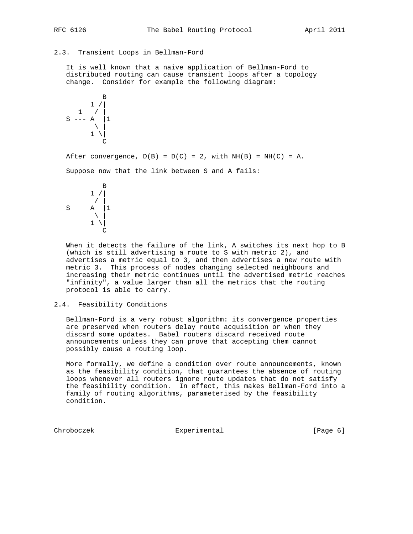### 2.3. Transient Loops in Bellman-Ford

 It is well known that a naive application of Bellman-Ford to distributed routing can cause transient loops after a topology change. Consider for example the following diagram:

$$
\begin{array}{c|c}\n & B \\
 & 1 \ / \ 1 \\
 & 1 \ / \ 1 \\
 & 1 \ \ 1 \\
 & C\n\end{array}
$$

After convergence,  $D(B) = D(C) = 2$ , with  $NH(B) = NH(C) = A$ .

Suppose now that the link between S and A fails:

$$
\begin{array}{c}\n & \text{B} \\
1 \text{ / } \\
 \text{S} \\
 \text{A} \\
 \downarrow \\
 1 \text{ / } \\
 \text{C}\n\end{array}
$$

 When it detects the failure of the link, A switches its next hop to B (which is still advertising a route to S with metric 2), and advertises a metric equal to 3, and then advertises a new route with metric 3. This process of nodes changing selected neighbours and increasing their metric continues until the advertised metric reaches "infinity", a value larger than all the metrics that the routing protocol is able to carry.

# 2.4. Feasibility Conditions

 Bellman-Ford is a very robust algorithm: its convergence properties are preserved when routers delay route acquisition or when they discard some updates. Babel routers discard received route announcements unless they can prove that accepting them cannot possibly cause a routing loop.

 More formally, we define a condition over route announcements, known as the feasibility condition, that guarantees the absence of routing loops whenever all routers ignore route updates that do not satisfy the feasibility condition. In effect, this makes Bellman-Ford into a family of routing algorithms, parameterised by the feasibility condition.

Chroboczek **Experimental** Experimental [Page 6]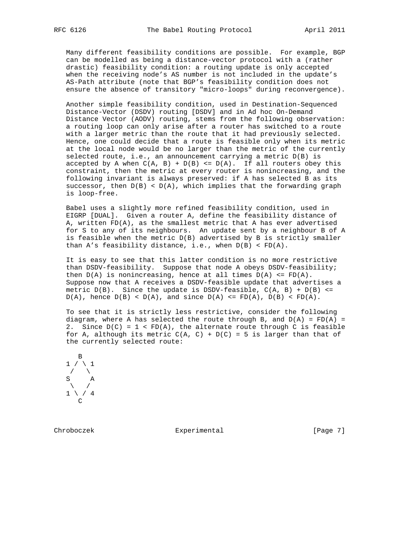Many different feasibility conditions are possible. For example, BGP can be modelled as being a distance-vector protocol with a (rather drastic) feasibility condition: a routing update is only accepted when the receiving node's AS number is not included in the update's AS-Path attribute (note that BGP's feasibility condition does not ensure the absence of transitory "micro-loops" during reconvergence).

 Another simple feasibility condition, used in Destination-Sequenced Distance-Vector (DSDV) routing [DSDV] and in Ad hoc On-Demand Distance Vector (AODV) routing, stems from the following observation: a routing loop can only arise after a router has switched to a route with a larger metric than the route that it had previously selected. Hence, one could decide that a route is feasible only when its metric at the local node would be no larger than the metric of the currently selected route, i.e., an announcement carrying a metric  $D(B)$  is accepted by A when  $C(A, B) + D(B) \le D(A)$ . If all routers obey this constraint, then the metric at every router is nonincreasing, and the following invariant is always preserved: if A has selected B as its successor, then  $D(B) < D(A)$ , which implies that the forwarding graph is loop-free.

 Babel uses a slightly more refined feasibility condition, used in EIGRP [DUAL]. Given a router A, define the feasibility distance of A, written FD(A), as the smallest metric that A has ever advertised for S to any of its neighbours. An update sent by a neighbour B of A is feasible when the metric D(B) advertised by B is strictly smaller than  $A'$ s feasibility distance, i.e., when  $D(B) < FD(A)$ .

 It is easy to see that this latter condition is no more restrictive than DSDV-feasibility. Suppose that node A obeys DSDV-feasibility; then  $D(A)$  is nonincreasing, hence at all times  $D(A) \leq FD(A)$ . Suppose now that A receives a DSDV-feasible update that advertises a metric  $D(B)$ . Since the update is DSDV-feasible,  $C(A, B) + D(B) \leq$  $D(A)$ , hence  $D(B) < D(A)$ , and since  $D(A) < = FD(A)$ ,  $D(B) < FD(A)$ .

 To see that it is strictly less restrictive, consider the following diagram, where A has selected the route through B, and  $D(A) = FD(A) =$ 2. Since  $D(C) = 1 < FD(A)$ , the alternate route through C is feasible for A, although its metric  $C(A, C) + D(C) = 5$  is larger than that of the currently selected route:



Chroboczek **Experimental** [Page 7]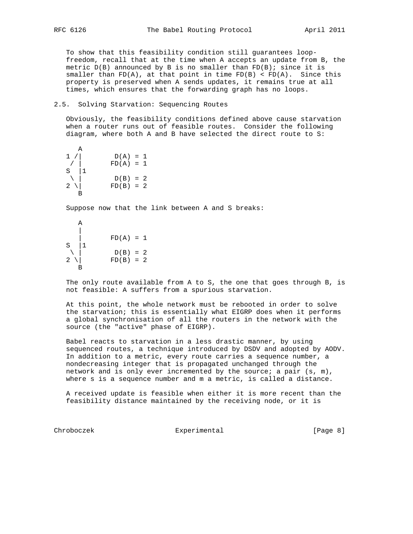To show that this feasibility condition still guarantees loop freedom, recall that at the time when A accepts an update from B, the metric  $D(B)$  announced by B is no smaller than  $FD(B)$ ; since it is smaller than  $FD(A)$ , at that point in time  $FD(B) < FD(A)$ . Since this property is preserved when A sends updates, it remains true at all times, which ensures that the forwarding graph has no loops.

#### 2.5. Solving Starvation: Sequencing Routes

 Obviously, the feasibility conditions defined above cause starvation when a router runs out of feasible routes. Consider the following diagram, where both A and B have selected the direct route to S:

 $\begin{array}{c} \text{A} \\ 1 \end{array}$  $D(A) = 1$  $/ |$  FD(A) = 1 S |1  $\setminus$  | D(B) = 2  $2 \setminus$  FD(B) = 2 B

Suppose now that the link between A and S breaks:



 The only route available from A to S, the one that goes through B, is not feasible: A suffers from a spurious starvation.

 At this point, the whole network must be rebooted in order to solve the starvation; this is essentially what EIGRP does when it performs a global synchronisation of all the routers in the network with the source (the "active" phase of EIGRP).

 Babel reacts to starvation in a less drastic manner, by using sequenced routes, a technique introduced by DSDV and adopted by AODV. In addition to a metric, every route carries a sequence number, a nondecreasing integer that is propagated unchanged through the network and is only ever incremented by the source; a pair  $(s, m)$ , where s is a sequence number and m a metric, is called a distance.

 A received update is feasible when either it is more recent than the feasibility distance maintained by the receiving node, or it is

Chroboczek **Experimental** Experimental [Page 8]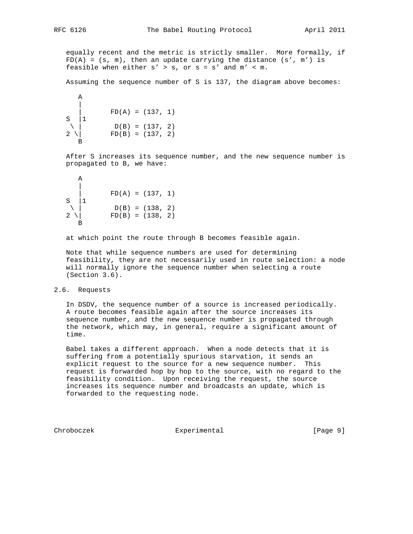equally recent and the metric is strictly smaller. More formally, if  $FD(A) = (s, m)$ , then an update carrying the distance  $(s', m')$  is feasible when either  $s' > s$ , or  $s = s'$  and  $m' < m$ .

Assuming the sequence number of S is 137, the diagram above becomes:

A  
\n
$$
\begin{array}{ccc}\n & A \\
 \downarrow \\
 S \\
 \downarrow \\
 2\n \end{array}
$$
\nFD(A) = (137, 1)  
\nD(B) = (137, 2)  
\nFD(B) = (137, 2)

 After S increases its sequence number, and the new sequence number is propagated to B, we have:

A  
\n
$$
\begin{array}{c|cc}\nA & & & \\
\downarrow & & \uparrow & \\
S & 1 & & \\
\searrow & & \downarrow & \\
2 & \searrow & & \\
B & & & \downarrow & \\
B\n\end{array}
$$
\nFD(A) = (137, 1)  
\nD(B) = (138, 2)  
\nFD(B) = (138, 2)

at which point the route through B becomes feasible again.

 Note that while sequence numbers are used for determining feasibility, they are not necessarily used in route selection: a node will normally ignore the sequence number when selecting a route (Section 3.6).

#### 2.6. Requests

 In DSDV, the sequence number of a source is increased periodically. A route becomes feasible again after the source increases its sequence number, and the new sequence number is propagated through the network, which may, in general, require a significant amount of time.

 Babel takes a different approach. When a node detects that it is suffering from a potentially spurious starvation, it sends an explicit request to the source for a new sequence number. This request is forwarded hop by hop to the source, with no regard to the feasibility condition. Upon receiving the request, the source increases its sequence number and broadcasts an update, which is forwarded to the requesting node.

Chroboczek **Experimental** [Page 9]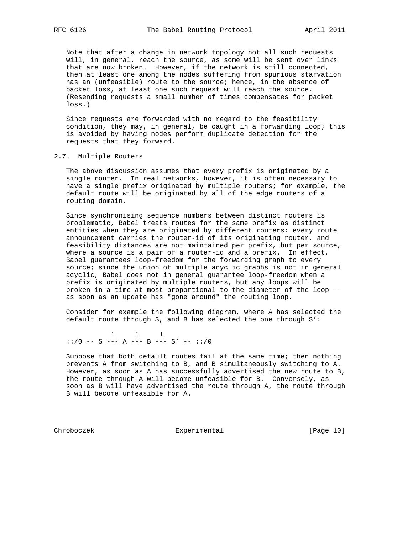Note that after a change in network topology not all such requests will, in general, reach the source, as some will be sent over links that are now broken. However, if the network is still connected, then at least one among the nodes suffering from spurious starvation has an (unfeasible) route to the source; hence, in the absence of packet loss, at least one such request will reach the source. (Resending requests a small number of times compensates for packet loss.)

 Since requests are forwarded with no regard to the feasibility condition, they may, in general, be caught in a forwarding loop; this is avoided by having nodes perform duplicate detection for the requests that they forward.

#### 2.7. Multiple Routers

 The above discussion assumes that every prefix is originated by a single router. In real networks, however, it is often necessary to have a single prefix originated by multiple routers; for example, the default route will be originated by all of the edge routers of a routing domain.

 Since synchronising sequence numbers between distinct routers is problematic, Babel treats routes for the same prefix as distinct entities when they are originated by different routers: every route announcement carries the router-id of its originating router, and feasibility distances are not maintained per prefix, but per source, where a source is a pair of a router-id and a prefix. In effect, Babel guarantees loop-freedom for the forwarding graph to every source; since the union of multiple acyclic graphs is not in general acyclic, Babel does not in general guarantee loop-freedom when a prefix is originated by multiple routers, but any loops will be broken in a time at most proportional to the diameter of the loop - as soon as an update has "gone around" the routing loop.

 Consider for example the following diagram, where A has selected the default route through S, and B has selected the one through S':

 1 1 1 ::/0 -- S --- A --- B --- S' -- ::/0

 Suppose that both default routes fail at the same time; then nothing prevents A from switching to B, and B simultaneously switching to A. However, as soon as A has successfully advertised the new route to B, the route through A will become unfeasible for B. Conversely, as soon as B will have advertised the route through A, the route through B will become unfeasible for A.

Chroboczek Experimental [Page 10]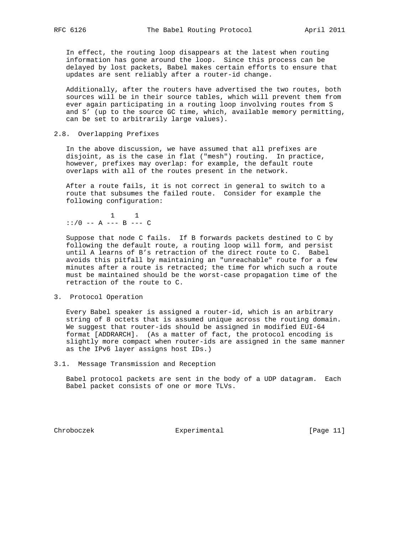In effect, the routing loop disappears at the latest when routing information has gone around the loop. Since this process can be delayed by lost packets, Babel makes certain efforts to ensure that updates are sent reliably after a router-id change.

 Additionally, after the routers have advertised the two routes, both sources will be in their source tables, which will prevent them from ever again participating in a routing loop involving routes from S and S' (up to the source GC time, which, available memory permitting, can be set to arbitrarily large values).

#### 2.8. Overlapping Prefixes

 In the above discussion, we have assumed that all prefixes are disjoint, as is the case in flat ("mesh") routing. In practice, however, prefixes may overlap: for example, the default route overlaps with all of the routes present in the network.

 After a route fails, it is not correct in general to switch to a route that subsumes the failed route. Consider for example the following configuration:

$$
\begin{array}{cccc}\n & & 1 & 1 \\
\vdots & \vdots & \vdots & \vdots \\
 & & \vdots \\
\end{array}
$$

 Suppose that node C fails. If B forwards packets destined to C by following the default route, a routing loop will form, and persist until A learns of B's retraction of the direct route to C. Babel avoids this pitfall by maintaining an "unreachable" route for a few minutes after a route is retracted; the time for which such a route must be maintained should be the worst-case propagation time of the retraction of the route to C.

3. Protocol Operation

 Every Babel speaker is assigned a router-id, which is an arbitrary string of 8 octets that is assumed unique across the routing domain. We suggest that router-ids should be assigned in modified EUI-64 format [ADDRARCH]. (As a matter of fact, the protocol encoding is slightly more compact when router-ids are assigned in the same manner as the IPv6 layer assigns host IDs.)

3.1. Message Transmission and Reception

 Babel protocol packets are sent in the body of a UDP datagram. Each Babel packet consists of one or more TLVs.

Chroboczek Experimental [Page 11]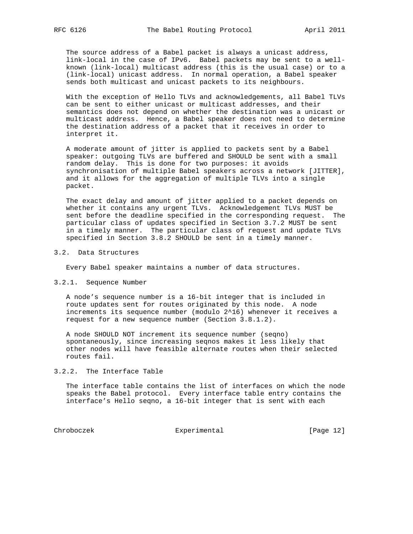The source address of a Babel packet is always a unicast address, link-local in the case of IPv6. Babel packets may be sent to a well known (link-local) multicast address (this is the usual case) or to a (link-local) unicast address. In normal operation, a Babel speaker sends both multicast and unicast packets to its neighbours.

 With the exception of Hello TLVs and acknowledgements, all Babel TLVs can be sent to either unicast or multicast addresses, and their semantics does not depend on whether the destination was a unicast or multicast address. Hence, a Babel speaker does not need to determine the destination address of a packet that it receives in order to interpret it.

 A moderate amount of jitter is applied to packets sent by a Babel speaker: outgoing TLVs are buffered and SHOULD be sent with a small random delay. This is done for two purposes: it avoids synchronisation of multiple Babel speakers across a network [JITTER], and it allows for the aggregation of multiple TLVs into a single packet.

 The exact delay and amount of jitter applied to a packet depends on whether it contains any urgent TLVs. Acknowledgement TLVs MUST be sent before the deadline specified in the corresponding request. The particular class of updates specified in Section 3.7.2 MUST be sent in a timely manner. The particular class of request and update TLVs specified in Section 3.8.2 SHOULD be sent in a timely manner.

#### 3.2. Data Structures

Every Babel speaker maintains a number of data structures.

#### 3.2.1. Sequence Number

 A node's sequence number is a 16-bit integer that is included in route updates sent for routes originated by this node. A node increments its sequence number (modulo 2^16) whenever it receives a request for a new sequence number (Section 3.8.1.2).

 A node SHOULD NOT increment its sequence number (seqno) spontaneously, since increasing seqnos makes it less likely that other nodes will have feasible alternate routes when their selected routes fail.

#### 3.2.2. The Interface Table

 The interface table contains the list of interfaces on which the node speaks the Babel protocol. Every interface table entry contains the interface's Hello seqno, a 16-bit integer that is sent with each

Chroboczek Experimental [Page 12]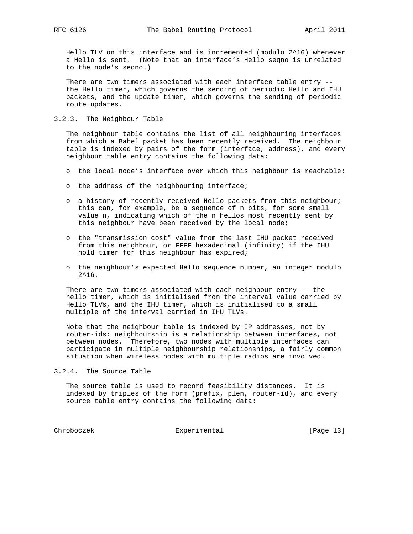Hello TLV on this interface and is incremented (modulo 2^16) whenever a Hello is sent. (Note that an interface's Hello seqno is unrelated to the node's seqno.)

 There are two timers associated with each interface table entry - the Hello timer, which governs the sending of periodic Hello and IHU packets, and the update timer, which governs the sending of periodic route updates.

# 3.2.3. The Neighbour Table

 The neighbour table contains the list of all neighbouring interfaces from which a Babel packet has been recently received. The neighbour table is indexed by pairs of the form (interface, address), and every neighbour table entry contains the following data:

- o the local node's interface over which this neighbour is reachable;
- o the address of the neighbouring interface;
- o a history of recently received Hello packets from this neighbour; this can, for example, be a sequence of n bits, for some small value n, indicating which of the n hellos most recently sent by this neighbour have been received by the local node;
- o the "transmission cost" value from the last IHU packet received from this neighbour, or FFFF hexadecimal (infinity) if the IHU hold timer for this neighbour has expired;
- o the neighbour's expected Hello sequence number, an integer modulo  $2^16$ .

 There are two timers associated with each neighbour entry -- the hello timer, which is initialised from the interval value carried by Hello TLVs, and the IHU timer, which is initialised to a small multiple of the interval carried in IHU TLVs.

 Note that the neighbour table is indexed by IP addresses, not by router-ids: neighbourship is a relationship between interfaces, not between nodes. Therefore, two nodes with multiple interfaces can participate in multiple neighbourship relationships, a fairly common situation when wireless nodes with multiple radios are involved.

3.2.4. The Source Table

 The source table is used to record feasibility distances. It is indexed by triples of the form (prefix, plen, router-id), and every source table entry contains the following data:

Chroboczek Experimental [Page 13]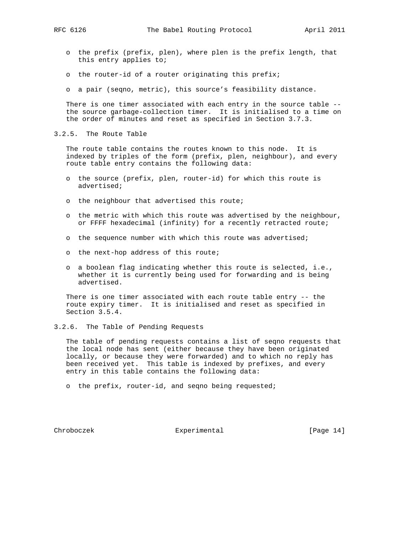- o the prefix (prefix, plen), where plen is the prefix length, that this entry applies to;
- o the router-id of a router originating this prefix;
- o a pair (seqno, metric), this source's feasibility distance.

 There is one timer associated with each entry in the source table - the source garbage-collection timer. It is initialised to a time on the order of minutes and reset as specified in Section 3.7.3.

3.2.5. The Route Table

 The route table contains the routes known to this node. It is indexed by triples of the form (prefix, plen, neighbour), and every route table entry contains the following data:

- o the source (prefix, plen, router-id) for which this route is advertised;
- o the neighbour that advertised this route;
- o the metric with which this route was advertised by the neighbour, or FFFF hexadecimal (infinity) for a recently retracted route;
- o the sequence number with which this route was advertised;
- o the next-hop address of this route;
- o a boolean flag indicating whether this route is selected, i.e., whether it is currently being used for forwarding and is being advertised.

 There is one timer associated with each route table entry -- the route expiry timer. It is initialised and reset as specified in Section 3.5.4.

3.2.6. The Table of Pending Requests

 The table of pending requests contains a list of seqno requests that the local node has sent (either because they have been originated locally, or because they were forwarded) and to which no reply has been received yet. This table is indexed by prefixes, and every entry in this table contains the following data:

o the prefix, router-id, and seqno being requested;

Chroboczek Experimental [Page 14]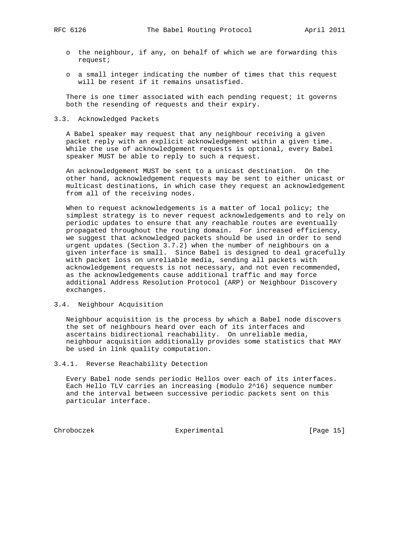- o the neighbour, if any, on behalf of which we are forwarding this request;
- o a small integer indicating the number of times that this request will be resent if it remains unsatisfied.

There is one timer associated with each pending request; it governs both the resending of requests and their expiry.

### 3.3. Acknowledged Packets

 A Babel speaker may request that any neighbour receiving a given packet reply with an explicit acknowledgement within a given time. While the use of acknowledgement requests is optional, every Babel speaker MUST be able to reply to such a request.

 An acknowledgement MUST be sent to a unicast destination. On the other hand, acknowledgement requests may be sent to either unicast or multicast destinations, in which case they request an acknowledgement from all of the receiving nodes.

When to request acknowledgements is a matter of local policy; the simplest strategy is to never request acknowledgements and to rely on periodic updates to ensure that any reachable routes are eventually propagated throughout the routing domain. For increased efficiency, we suggest that acknowledged packets should be used in order to send urgent updates (Section 3.7.2) when the number of neighbours on a given interface is small. Since Babel is designed to deal gracefully with packet loss on unreliable media, sending all packets with acknowledgement requests is not necessary, and not even recommended, as the acknowledgements cause additional traffic and may force additional Address Resolution Protocol (ARP) or Neighbour Discovery exchanges.

# 3.4. Neighbour Acquisition

 Neighbour acquisition is the process by which a Babel node discovers the set of neighbours heard over each of its interfaces and ascertains bidirectional reachability. On unreliable media, neighbour acquisition additionally provides some statistics that MAY be used in link quality computation.

# 3.4.1. Reverse Reachability Detection

 Every Babel node sends periodic Hellos over each of its interfaces. Each Hello TLV carries an increasing (modulo 2^16) sequence number and the interval between successive periodic packets sent on this particular interface.

Chroboczek Experimental [Page 15]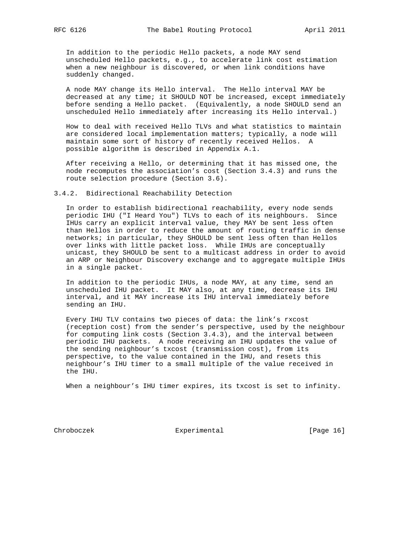In addition to the periodic Hello packets, a node MAY send unscheduled Hello packets, e.g., to accelerate link cost estimation when a new neighbour is discovered, or when link conditions have suddenly changed.

 A node MAY change its Hello interval. The Hello interval MAY be decreased at any time; it SHOULD NOT be increased, except immediately before sending a Hello packet. (Equivalently, a node SHOULD send an unscheduled Hello immediately after increasing its Hello interval.)

 How to deal with received Hello TLVs and what statistics to maintain are considered local implementation matters; typically, a node will maintain some sort of history of recently received Hellos. A possible algorithm is described in Appendix A.1.

 After receiving a Hello, or determining that it has missed one, the node recomputes the association's cost (Section 3.4.3) and runs the route selection procedure (Section 3.6).

3.4.2. Bidirectional Reachability Detection

 In order to establish bidirectional reachability, every node sends periodic IHU ("I Heard You") TLVs to each of its neighbours. Since IHUs carry an explicit interval value, they MAY be sent less often than Hellos in order to reduce the amount of routing traffic in dense networks; in particular, they SHOULD be sent less often than Hellos over links with little packet loss. While IHUs are conceptually unicast, they SHOULD be sent to a multicast address in order to avoid an ARP or Neighbour Discovery exchange and to aggregate multiple IHUs in a single packet.

 In addition to the periodic IHUs, a node MAY, at any time, send an unscheduled IHU packet. It MAY also, at any time, decrease its IHU interval, and it MAY increase its IHU interval immediately before sending an IHU.

 Every IHU TLV contains two pieces of data: the link's rxcost (reception cost) from the sender's perspective, used by the neighbour for computing link costs (Section 3.4.3), and the interval between periodic IHU packets. A node receiving an IHU updates the value of the sending neighbour's txcost (transmission cost), from its perspective, to the value contained in the IHU, and resets this neighbour's IHU timer to a small multiple of the value received in the IHU.

When a neighbour's IHU timer expires, its txcost is set to infinity.

Chroboczek Experimental [Page 16]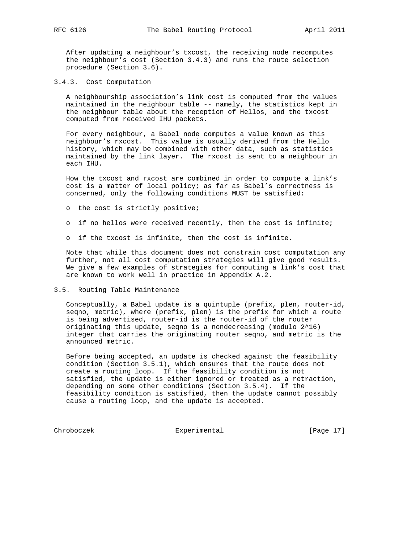After updating a neighbour's txcost, the receiving node recomputes the neighbour's cost (Section 3.4.3) and runs the route selection procedure (Section 3.6).

3.4.3. Cost Computation

 A neighbourship association's link cost is computed from the values maintained in the neighbour table -- namely, the statistics kept in the neighbour table about the reception of Hellos, and the txcost computed from received IHU packets.

 For every neighbour, a Babel node computes a value known as this neighbour's rxcost. This value is usually derived from the Hello history, which may be combined with other data, such as statistics maintained by the link layer. The rxcost is sent to a neighbour in each IHU.

 How the txcost and rxcost are combined in order to compute a link's cost is a matter of local policy; as far as Babel's correctness is concerned, only the following conditions MUST be satisfied:

- o the cost is strictly positive;
- o if no hellos were received recently, then the cost is infinite;
- o if the txcost is infinite, then the cost is infinite.

 Note that while this document does not constrain cost computation any further, not all cost computation strategies will give good results. We give a few examples of strategies for computing a link's cost that are known to work well in practice in Appendix A.2.

3.5. Routing Table Maintenance

 Conceptually, a Babel update is a quintuple (prefix, plen, router-id, seqno, metric), where (prefix, plen) is the prefix for which a route is being advertised, router-id is the router-id of the router originating this update, seqno is a nondecreasing (modulo 2^16) integer that carries the originating router seqno, and metric is the announced metric.

 Before being accepted, an update is checked against the feasibility condition (Section 3.5.1), which ensures that the route does not create a routing loop. If the feasibility condition is not satisfied, the update is either ignored or treated as a retraction, depending on some other conditions (Section 3.5.4). If the feasibility condition is satisfied, then the update cannot possibly cause a routing loop, and the update is accepted.

Chroboczek Experimental [Page 17]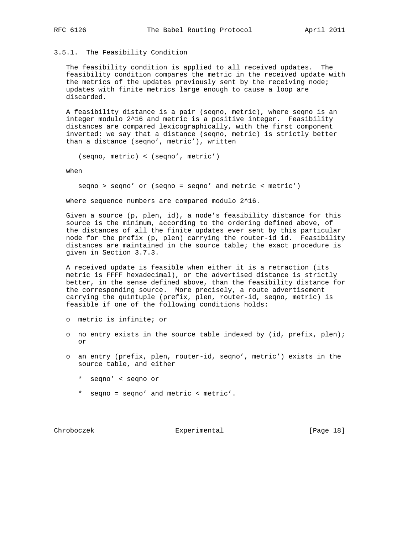## 3.5.1. The Feasibility Condition

 The feasibility condition is applied to all received updates. The feasibility condition compares the metric in the received update with the metrics of the updates previously sent by the receiving node; updates with finite metrics large enough to cause a loop are discarded.

 A feasibility distance is a pair (seqno, metric), where seqno is an integer modulo 2^16 and metric is a positive integer. Feasibility distances are compared lexicographically, with the first component inverted: we say that a distance (seqno, metric) is strictly better than a distance (seqno', metric'), written

(seqno, metric) < (seqno', metric')

when

seqno > seqno' or (seqno = seqno' and metric < metric')

where sequence numbers are compared modulo 2^16.

 Given a source (p, plen, id), a node's feasibility distance for this source is the minimum, according to the ordering defined above, of the distances of all the finite updates ever sent by this particular node for the prefix (p, plen) carrying the router-id id. Feasibility distances are maintained in the source table; the exact procedure is given in Section 3.7.3.

 A received update is feasible when either it is a retraction (its metric is FFFF hexadecimal), or the advertised distance is strictly better, in the sense defined above, than the feasibility distance for the corresponding source. More precisely, a route advertisement carrying the quintuple (prefix, plen, router-id, seqno, metric) is feasible if one of the following conditions holds:

- o metric is infinite; or
- o no entry exists in the source table indexed by (id, prefix, plen); or
- o an entry (prefix, plen, router-id, seqno', metric') exists in the source table, and either
	- \* seqno' < seqno or
	- \* seqno = seqno' and metric < metric'.

Chroboczek Experimental [Page 18]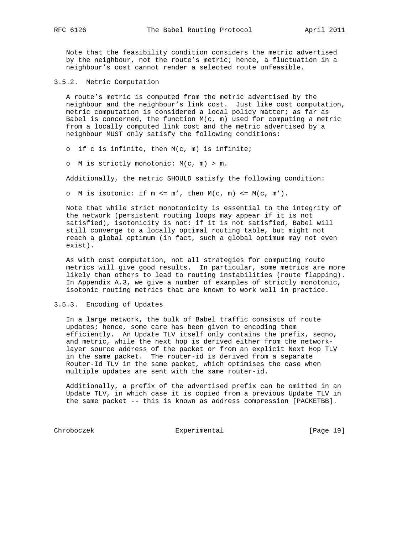Note that the feasibility condition considers the metric advertised by the neighbour, not the route's metric; hence, a fluctuation in a neighbour's cost cannot render a selected route unfeasible.

3.5.2. Metric Computation

 A route's metric is computed from the metric advertised by the neighbour and the neighbour's link cost. Just like cost computation, metric computation is considered a local policy matter; as far as Babel is concerned, the function  $M(c, m)$  used for computing a metric from a locally computed link cost and the metric advertised by a neighbour MUST only satisfy the following conditions:

o if c is infinite, then M(c, m) is infinite;

o M is strictly monotonic: M(c, m) > m.

Additionally, the metric SHOULD satisfy the following condition:

o M is isotonic: if  $m \le m'$ , then  $M(c, m) \le M(c, m')$ .

 Note that while strict monotonicity is essential to the integrity of the network (persistent routing loops may appear if it is not satisfied), isotonicity is not: if it is not satisfied, Babel will still converge to a locally optimal routing table, but might not reach a global optimum (in fact, such a global optimum may not even exist).

 As with cost computation, not all strategies for computing route metrics will give good results. In particular, some metrics are more likely than others to lead to routing instabilities (route flapping). In Appendix A.3, we give a number of examples of strictly monotonic, isotonic routing metrics that are known to work well in practice.

# 3.5.3. Encoding of Updates

 In a large network, the bulk of Babel traffic consists of route updates; hence, some care has been given to encoding them efficiently. An Update TLV itself only contains the prefix, seqno, and metric, while the next hop is derived either from the network layer source address of the packet or from an explicit Next Hop TLV in the same packet. The router-id is derived from a separate Router-Id TLV in the same packet, which optimises the case when multiple updates are sent with the same router-id.

 Additionally, a prefix of the advertised prefix can be omitted in an Update TLV, in which case it is copied from a previous Update TLV in the same packet -- this is known as address compression [PACKETBB].

Chroboczek Experimental [Page 19]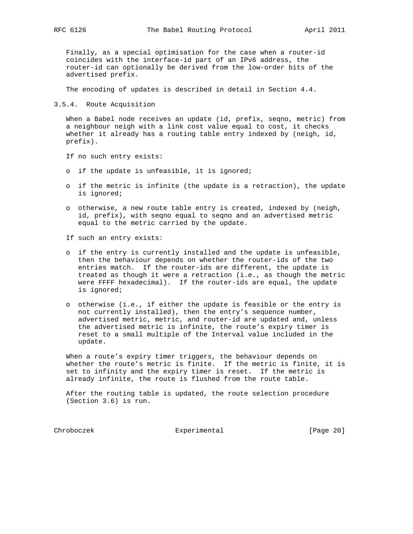Finally, as a special optimisation for the case when a router-id coincides with the interface-id part of an IPv6 address, the router-id can optionally be derived from the low-order bits of the advertised prefix.

The encoding of updates is described in detail in Section 4.4.

3.5.4. Route Acquisition

 When a Babel node receives an update (id, prefix, seqno, metric) from a neighbour neigh with a link cost value equal to cost, it checks whether it already has a routing table entry indexed by (neigh, id, prefix).

If no such entry exists:

- o if the update is unfeasible, it is ignored;
- o if the metric is infinite (the update is a retraction), the update is ignored;
- o otherwise, a new route table entry is created, indexed by (neigh, id, prefix), with seqno equal to seqno and an advertised metric equal to the metric carried by the update.

If such an entry exists:

- o if the entry is currently installed and the update is unfeasible, then the behaviour depends on whether the router-ids of the two entries match. If the router-ids are different, the update is treated as though it were a retraction (i.e., as though the metric were FFFF hexadecimal). If the router-ids are equal, the update is ignored;
- o otherwise (i.e., if either the update is feasible or the entry is not currently installed), then the entry's sequence number, advertised metric, metric, and router-id are updated and, unless the advertised metric is infinite, the route's expiry timer is reset to a small multiple of the Interval value included in the update.

 When a route's expiry timer triggers, the behaviour depends on whether the route's metric is finite. If the metric is finite, it is set to infinity and the expiry timer is reset. If the metric is already infinite, the route is flushed from the route table.

 After the routing table is updated, the route selection procedure (Section 3.6) is run.

Chroboczek Experimental [Page 20]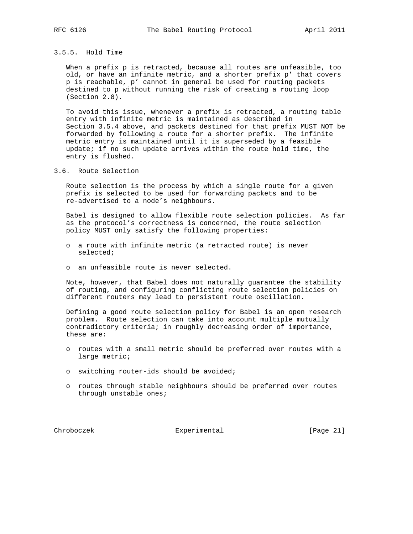# 3.5.5. Hold Time

 When a prefix p is retracted, because all routes are unfeasible, too old, or have an infinite metric, and a shorter prefix p' that covers p is reachable, p' cannot in general be used for routing packets destined to p without running the risk of creating a routing loop (Section 2.8).

 To avoid this issue, whenever a prefix is retracted, a routing table entry with infinite metric is maintained as described in Section 3.5.4 above, and packets destined for that prefix MUST NOT be forwarded by following a route for a shorter prefix. The infinite metric entry is maintained until it is superseded by a feasible update; if no such update arrives within the route hold time, the entry is flushed.

3.6. Route Selection

 Route selection is the process by which a single route for a given prefix is selected to be used for forwarding packets and to be re-advertised to a node's neighbours.

 Babel is designed to allow flexible route selection policies. As far as the protocol's correctness is concerned, the route selection policy MUST only satisfy the following properties:

- o a route with infinite metric (a retracted route) is never selected;
- o an unfeasible route is never selected.

 Note, however, that Babel does not naturally guarantee the stability of routing, and configuring conflicting route selection policies on different routers may lead to persistent route oscillation.

 Defining a good route selection policy for Babel is an open research problem. Route selection can take into account multiple mutually contradictory criteria; in roughly decreasing order of importance, these are:

- o routes with a small metric should be preferred over routes with a large metric;
- o switching router-ids should be avoided;
- o routes through stable neighbours should be preferred over routes through unstable ones;

Chroboczek Experimental [Page 21]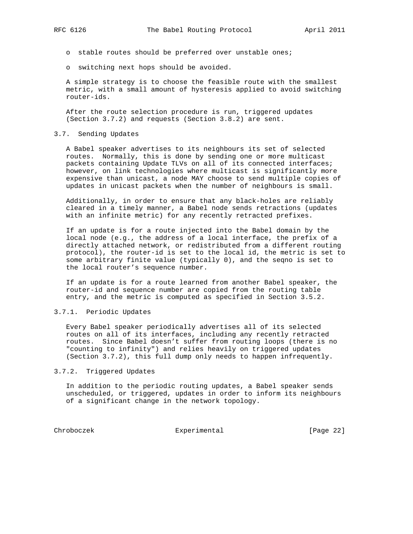- o stable routes should be preferred over unstable ones;
- o switching next hops should be avoided.

 A simple strategy is to choose the feasible route with the smallest metric, with a small amount of hysteresis applied to avoid switching router-ids.

 After the route selection procedure is run, triggered updates (Section 3.7.2) and requests (Section 3.8.2) are sent.

## 3.7. Sending Updates

 A Babel speaker advertises to its neighbours its set of selected routes. Normally, this is done by sending one or more multicast packets containing Update TLVs on all of its connected interfaces; however, on link technologies where multicast is significantly more expensive than unicast, a node MAY choose to send multiple copies of updates in unicast packets when the number of neighbours is small.

 Additionally, in order to ensure that any black-holes are reliably cleared in a timely manner, a Babel node sends retractions (updates with an infinite metric) for any recently retracted prefixes.

 If an update is for a route injected into the Babel domain by the local node (e.g., the address of a local interface, the prefix of a directly attached network, or redistributed from a different routing protocol), the router-id is set to the local id, the metric is set to some arbitrary finite value (typically 0), and the seqno is set to the local router's sequence number.

 If an update is for a route learned from another Babel speaker, the router-id and sequence number are copied from the routing table entry, and the metric is computed as specified in Section 3.5.2.

#### 3.7.1. Periodic Updates

 Every Babel speaker periodically advertises all of its selected routes on all of its interfaces, including any recently retracted routes. Since Babel doesn't suffer from routing loops (there is no "counting to infinity") and relies heavily on triggered updates (Section 3.7.2), this full dump only needs to happen infrequently.

3.7.2. Triggered Updates

 In addition to the periodic routing updates, a Babel speaker sends unscheduled, or triggered, updates in order to inform its neighbours of a significant change in the network topology.

Chroboczek Experimental [Page 22]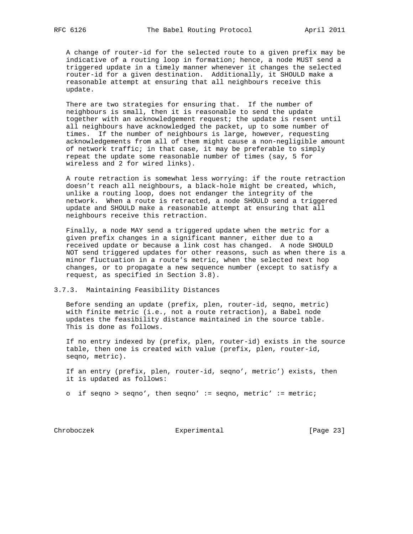A change of router-id for the selected route to a given prefix may be indicative of a routing loop in formation; hence, a node MUST send a triggered update in a timely manner whenever it changes the selected router-id for a given destination. Additionally, it SHOULD make a reasonable attempt at ensuring that all neighbours receive this update.

 There are two strategies for ensuring that. If the number of neighbours is small, then it is reasonable to send the update together with an acknowledgement request; the update is resent until all neighbours have acknowledged the packet, up to some number of times. If the number of neighbours is large, however, requesting acknowledgements from all of them might cause a non-negligible amount of network traffic; in that case, it may be preferable to simply repeat the update some reasonable number of times (say, 5 for wireless and 2 for wired links).

 A route retraction is somewhat less worrying: if the route retraction doesn't reach all neighbours, a black-hole might be created, which, unlike a routing loop, does not endanger the integrity of the network. When a route is retracted, a node SHOULD send a triggered update and SHOULD make a reasonable attempt at ensuring that all neighbours receive this retraction.

 Finally, a node MAY send a triggered update when the metric for a given prefix changes in a significant manner, either due to a received update or because a link cost has changed. A node SHOULD NOT send triggered updates for other reasons, such as when there is a minor fluctuation in a route's metric, when the selected next hop changes, or to propagate a new sequence number (except to satisfy a request, as specified in Section 3.8).

#### 3.7.3. Maintaining Feasibility Distances

 Before sending an update (prefix, plen, router-id, seqno, metric) with finite metric (i.e., not a route retraction), a Babel node updates the feasibility distance maintained in the source table. This is done as follows.

 If no entry indexed by (prefix, plen, router-id) exists in the source table, then one is created with value (prefix, plen, router-id, seqno, metric).

 If an entry (prefix, plen, router-id, seqno', metric') exists, then it is updated as follows:

o if seqno > seqno', then seqno' := seqno, metric' := metric;

Chroboczek Experimental [Page 23]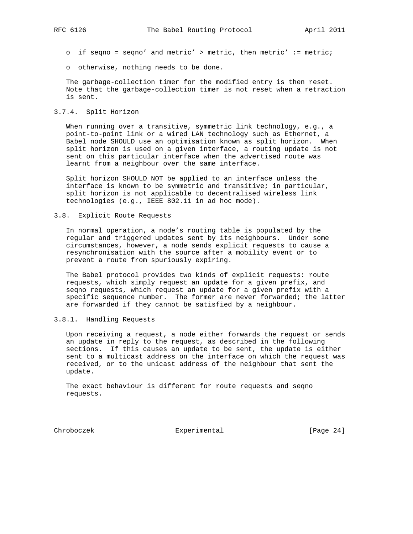- o if seqno = seqno' and metric' > metric, then metric'  $:=$  metric;
- o otherwise, nothing needs to be done.

 The garbage-collection timer for the modified entry is then reset. Note that the garbage-collection timer is not reset when a retraction is sent.

#### 3.7.4. Split Horizon

 When running over a transitive, symmetric link technology, e.g., a point-to-point link or a wired LAN technology such as Ethernet, a Babel node SHOULD use an optimisation known as split horizon. When split horizon is used on a given interface, a routing update is not sent on this particular interface when the advertised route was learnt from a neighbour over the same interface.

 Split horizon SHOULD NOT be applied to an interface unless the interface is known to be symmetric and transitive; in particular, split horizon is not applicable to decentralised wireless link technologies (e.g., IEEE 802.11 in ad hoc mode).

### 3.8. Explicit Route Requests

 In normal operation, a node's routing table is populated by the regular and triggered updates sent by its neighbours. Under some circumstances, however, a node sends explicit requests to cause a resynchronisation with the source after a mobility event or to prevent a route from spuriously expiring.

 The Babel protocol provides two kinds of explicit requests: route requests, which simply request an update for a given prefix, and seqno requests, which request an update for a given prefix with a specific sequence number. The former are never forwarded; the latter are forwarded if they cannot be satisfied by a neighbour.

# 3.8.1. Handling Requests

 Upon receiving a request, a node either forwards the request or sends an update in reply to the request, as described in the following sections. If this causes an update to be sent, the update is either sent to a multicast address on the interface on which the request was received, or to the unicast address of the neighbour that sent the update.

 The exact behaviour is different for route requests and seqno requests.

Chroboczek Experimental [Page 24]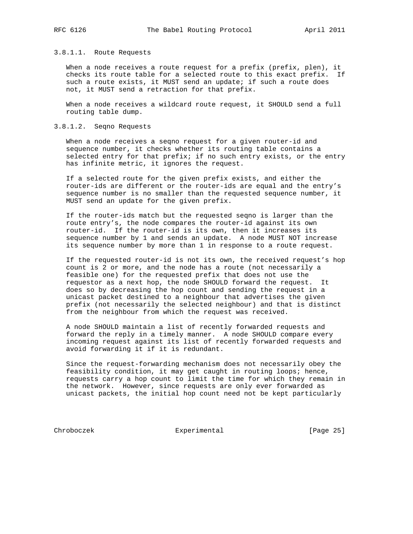#### 3.8.1.1. Route Requests

When a node receives a route request for a prefix (prefix, plen), it checks its route table for a selected route to this exact prefix. If such a route exists, it MUST send an update; if such a route does not, it MUST send a retraction for that prefix.

When a node receives a wildcard route request, it SHOULD send a full routing table dump.

#### 3.8.1.2. Seqno Requests

When a node receives a seqno request for a given router-id and sequence number, it checks whether its routing table contains a selected entry for that prefix; if no such entry exists, or the entry has infinite metric, it ignores the request.

 If a selected route for the given prefix exists, and either the router-ids are different or the router-ids are equal and the entry's sequence number is no smaller than the requested sequence number, it MUST send an update for the given prefix.

 If the router-ids match but the requested seqno is larger than the route entry's, the node compares the router-id against its own router-id. If the router-id is its own, then it increases its sequence number by 1 and sends an update. A node MUST NOT increase its sequence number by more than 1 in response to a route request.

 If the requested router-id is not its own, the received request's hop count is 2 or more, and the node has a route (not necessarily a feasible one) for the requested prefix that does not use the requestor as a next hop, the node SHOULD forward the request. It does so by decreasing the hop count and sending the request in a unicast packet destined to a neighbour that advertises the given prefix (not necessarily the selected neighbour) and that is distinct from the neighbour from which the request was received.

 A node SHOULD maintain a list of recently forwarded requests and forward the reply in a timely manner. A node SHOULD compare every incoming request against its list of recently forwarded requests and avoid forwarding it if it is redundant.

 Since the request-forwarding mechanism does not necessarily obey the feasibility condition, it may get caught in routing loops; hence, requests carry a hop count to limit the time for which they remain in the network. However, since requests are only ever forwarded as unicast packets, the initial hop count need not be kept particularly

Chroboczek Experimental [Page 25]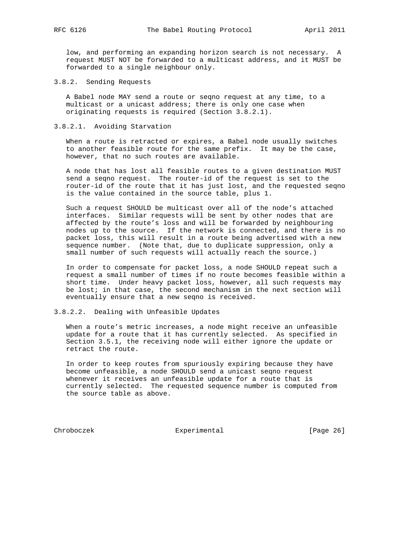low, and performing an expanding horizon search is not necessary. A request MUST NOT be forwarded to a multicast address, and it MUST be forwarded to a single neighbour only.

3.8.2. Sending Requests

 A Babel node MAY send a route or seqno request at any time, to a multicast or a unicast address; there is only one case when originating requests is required (Section 3.8.2.1).

#### 3.8.2.1. Avoiding Starvation

 When a route is retracted or expires, a Babel node usually switches to another feasible route for the same prefix. It may be the case, however, that no such routes are available.

 A node that has lost all feasible routes to a given destination MUST send a seqno request. The router-id of the request is set to the router-id of the route that it has just lost, and the requested seqno is the value contained in the source table, plus 1.

 Such a request SHOULD be multicast over all of the node's attached interfaces. Similar requests will be sent by other nodes that are affected by the route's loss and will be forwarded by neighbouring nodes up to the source. If the network is connected, and there is no packet loss, this will result in a route being advertised with a new sequence number. (Note that, due to duplicate suppression, only a small number of such requests will actually reach the source.)

 In order to compensate for packet loss, a node SHOULD repeat such a request a small number of times if no route becomes feasible within a short time. Under heavy packet loss, however, all such requests may be lost; in that case, the second mechanism in the next section will eventually ensure that a new seqno is received.

#### 3.8.2.2. Dealing with Unfeasible Updates

 When a route's metric increases, a node might receive an unfeasible update for a route that it has currently selected. As specified in Section 3.5.1, the receiving node will either ignore the update or retract the route.

 In order to keep routes from spuriously expiring because they have become unfeasible, a node SHOULD send a unicast seqno request whenever it receives an unfeasible update for a route that is currently selected. The requested sequence number is computed from the source table as above.

Chroboczek Experimental [Page 26]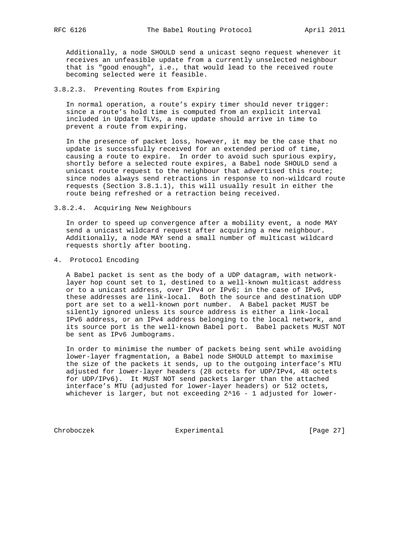Additionally, a node SHOULD send a unicast seqno request whenever it receives an unfeasible update from a currently unselected neighbour that is "good enough", i.e., that would lead to the received route becoming selected were it feasible.

## 3.8.2.3. Preventing Routes from Expiring

 In normal operation, a route's expiry timer should never trigger: since a route's hold time is computed from an explicit interval included in Update TLVs, a new update should arrive in time to prevent a route from expiring.

 In the presence of packet loss, however, it may be the case that no update is successfully received for an extended period of time, causing a route to expire. In order to avoid such spurious expiry, shortly before a selected route expires, a Babel node SHOULD send a unicast route request to the neighbour that advertised this route; since nodes always send retractions in response to non-wildcard route requests (Section 3.8.1.1), this will usually result in either the route being refreshed or a retraction being received.

3.8.2.4. Acquiring New Neighbours

 In order to speed up convergence after a mobility event, a node MAY send a unicast wildcard request after acquiring a new neighbour. Additionally, a node MAY send a small number of multicast wildcard requests shortly after booting.

4. Protocol Encoding

 A Babel packet is sent as the body of a UDP datagram, with network layer hop count set to 1, destined to a well-known multicast address or to a unicast address, over IPv4 or IPv6; in the case of IPv6, these addresses are link-local. Both the source and destination UDP port are set to a well-known port number. A Babel packet MUST be silently ignored unless its source address is either a link-local IPv6 address, or an IPv4 address belonging to the local network, and its source port is the well-known Babel port. Babel packets MUST NOT be sent as IPv6 Jumbograms.

 In order to minimise the number of packets being sent while avoiding lower-layer fragmentation, a Babel node SHOULD attempt to maximise the size of the packets it sends, up to the outgoing interface's MTU adjusted for lower-layer headers (28 octets for UDP/IPv4, 48 octets for UDP/IPv6). It MUST NOT send packets larger than the attached interface's MTU (adjusted for lower-layer headers) or 512 octets, whichever is larger, but not exceeding 2^16 - 1 adjusted for lower-

Chroboczek Experimental [Page 27]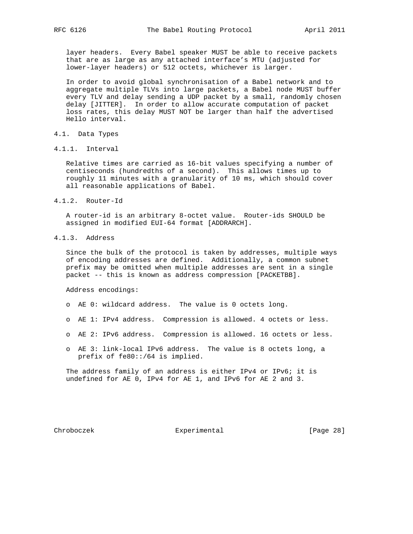layer headers. Every Babel speaker MUST be able to receive packets that are as large as any attached interface's MTU (adjusted for lower-layer headers) or 512 octets, whichever is larger.

 In order to avoid global synchronisation of a Babel network and to aggregate multiple TLVs into large packets, a Babel node MUST buffer every TLV and delay sending a UDP packet by a small, randomly chosen delay [JITTER]. In order to allow accurate computation of packet loss rates, this delay MUST NOT be larger than half the advertised Hello interval.

- 4.1. Data Types
- 4.1.1. Interval

 Relative times are carried as 16-bit values specifying a number of centiseconds (hundredths of a second). This allows times up to roughly 11 minutes with a granularity of 10 ms, which should cover all reasonable applications of Babel.

4.1.2. Router-Id

 A router-id is an arbitrary 8-octet value. Router-ids SHOULD be assigned in modified EUI-64 format [ADDRARCH].

4.1.3. Address

 Since the bulk of the protocol is taken by addresses, multiple ways of encoding addresses are defined. Additionally, a common subnet prefix may be omitted when multiple addresses are sent in a single packet -- this is known as address compression [PACKETBB].

Address encodings:

- o AE 0: wildcard address. The value is 0 octets long.
- o AE 1: IPv4 address. Compression is allowed. 4 octets or less.
- o AE 2: IPv6 address. Compression is allowed. 16 octets or less.
- o AE 3: link-local IPv6 address. The value is 8 octets long, a prefix of fe80::/64 is implied.

 The address family of an address is either IPv4 or IPv6; it is undefined for AE 0, IPv4 for AE 1, and IPv6 for AE 2 and 3.

Chroboczek **Experimental** [Page 28]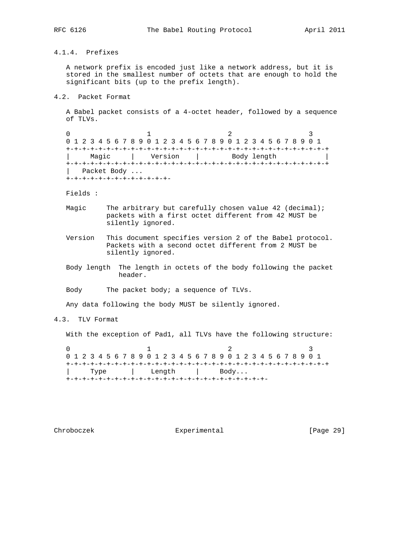# 4.1.4. Prefixes

 A network prefix is encoded just like a network address, but it is stored in the smallest number of octets that are enough to hold the significant bits (up to the prefix length).

4.2. Packet Format

 A Babel packet consists of a 4-octet header, followed by a sequence of TLVs.

0  $1$  2 3 0 1 2 3 4 5 6 7 8 9 0 1 2 3 4 5 6 7 8 9 0 1 2 3 4 5 6 7 8 9 0 1 +-+-+-+-+-+-+-+-+-+-+-+-+-+-+-+-+-+-+-+-+-+-+-+-+-+-+-+-+-+-+-+-+ Magic | Version | Body length +-+-+-+-+-+-+-+-+-+-+-+-+-+-+-+-+-+-+-+-+-+-+-+-+-+-+-+-+-+-+-+-+ | Packet Body ... +-+-+-+-+-+-+-+-+-+-+-+-+-

Fields :

- Magic The arbitrary but carefully chosen value 42 (decimal); packets with a first octet different from 42 MUST be silently ignored.
- Version This document specifies version 2 of the Babel protocol. Packets with a second octet different from 2 MUST be silently ignored.
- Body length The length in octets of the body following the packet header.

Body The packet body; a sequence of TLVs.

Any data following the body MUST be silently ignored.

4.3. TLV Format

With the exception of Pad1, all TLVs have the following structure:

0  $1$  2 3 0 1 2 3 4 5 6 7 8 9 0 1 2 3 4 5 6 7 8 9 0 1 2 3 4 5 6 7 8 9 0 1 +-+-+-+-+-+-+-+-+-+-+-+-+-+-+-+-+-+-+-+-+-+-+-+-+-+-+-+-+-+-+-+-+ | Type | Length | Body... +-+-+-+-+-+-+-+-+-+-+-+-+-+-+-+-+-+-+-+-+-+-+-+-+-

Chroboczek Experimental [Page 29]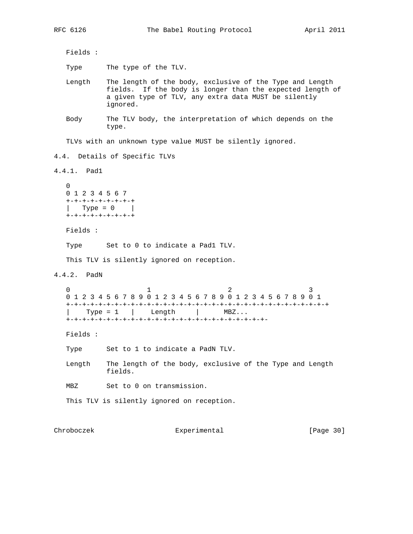Fields :

Type The type of the TLV.

- Length The length of the body, exclusive of the Type and Length fields. If the body is longer than the expected length of a given type of TLV, any extra data MUST be silently ignored.
- Body The TLV body, the interpretation of which depends on the type.

TLVs with an unknown type value MUST be silently ignored.

4.4. Details of Specific TLVs

```
4.4.1. Pad1
```
 $\cap$  0 1 2 3 4 5 6 7 +-+-+-+-+-+-+-+-+ | Type =  $0$  | +-+-+-+-+-+-+-+-+

Fields :

Type Set to 0 to indicate a Pad1 TLV.

This TLV is silently ignored on reception.

4.4.2. PadN

 $\begin{array}{ccccccc}\n0 & & & 1 & & & 2 & & 3\n\end{array}$  0 1 2 3 4 5 6 7 8 9 0 1 2 3 4 5 6 7 8 9 0 1 2 3 4 5 6 7 8 9 0 1 +-+-+-+-+-+-+-+-+-+-+-+-+-+-+-+-+-+-+-+-+-+-+-+-+-+-+-+-+-+-+-+-+  $Type = 1$  | Length | MBZ... +-+-+-+-+-+-+-+-+-+-+-+-+-+-+-+-+-+-+-+-+-+-+-+-+-

Fields :

Type Set to 1 to indicate a PadN TLV.

 Length The length of the body, exclusive of the Type and Length fields.

MBZ Set to 0 on transmission.

This TLV is silently ignored on reception.

Chroboczek Experimental [Page 30]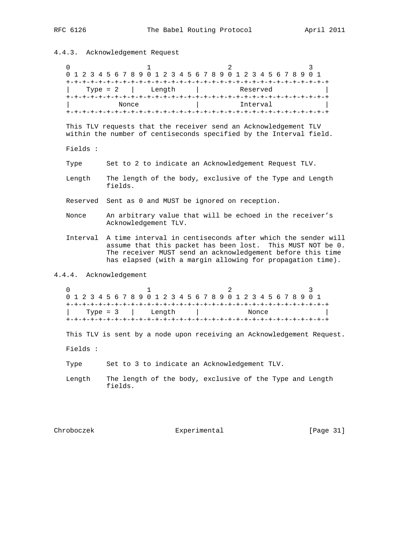# 4.4.3. Acknowledgement Request

| 0                      | 1<br>2<br>0 1 2 3 4 5 6 7 8 9 0 1 2 3 4 5 6 7 8 9 0 1 2 3 4 5 6 7 8 9 0 1                                                                                                                                                                             |
|------------------------|-------------------------------------------------------------------------------------------------------------------------------------------------------------------------------------------------------------------------------------------------------|
|                        | Type = $2$  <br>Length<br>Reserved<br>Nonce<br>Interval                                                                                                                                                                                               |
|                        | This TLV requests that the receiver send an Acknowledgement TLV<br>within the number of centiseconds specified by the Interval field.                                                                                                                 |
| Fields :               |                                                                                                                                                                                                                                                       |
| Type                   | Set to 2 to indicate an Acknowledgement Request TLV.                                                                                                                                                                                                  |
| Length                 | The length of the body, exclusive of the Type and Length<br>fields.                                                                                                                                                                                   |
|                        | Reserved Sent as 0 and MUST be ignored on reception.                                                                                                                                                                                                  |
| Nonce                  | An arbitrary value that will be echoed in the receiver's<br>Acknowledgement TLV.                                                                                                                                                                      |
| Interval               | A time interval in centiseconds after which the sender will<br>assume that this packet has been lost. This MUST NOT be 0.<br>The receiver MUST send an acknowledgement before this time<br>has elapsed (with a margin allowing for propagation time). |
| 4.4.4. Acknowledgement |                                                                                                                                                                                                                                                       |
| 0                      | 1<br>2<br>0 1 2 3 4 5 6 7 8 9 0 1 2 3 4 5 6 7 8 9 0 1 2 3 4 5 6 7 8 9 0 1<br>Type = $3$<br>Length<br>Nonce                                                                                                                                            |
|                        | This TLV is sent by a node upon receiving an Acknowledgement Request.                                                                                                                                                                                 |
| Fields :               |                                                                                                                                                                                                                                                       |
| Type                   | Set to 3 to indicate an Acknowledgement TLV.                                                                                                                                                                                                          |
| Length                 | The length of the body, exclusive of the Type and Length<br>fields.                                                                                                                                                                                   |
|                        |                                                                                                                                                                                                                                                       |

Chroboczek Experimental [Page 31]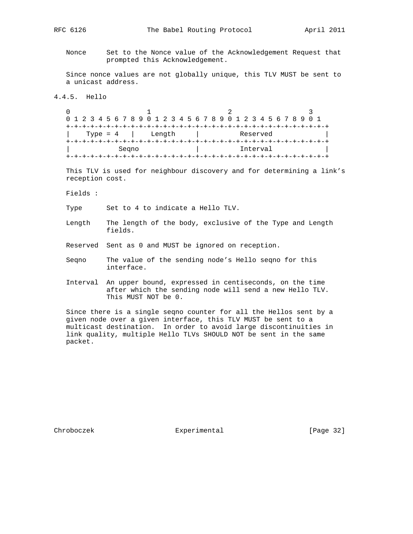Nonce Set to the Nonce value of the Acknowledgement Request that prompted this Acknowledgement.

 Since nonce values are not globally unique, this TLV MUST be sent to a unicast address.

# 4.4.5. Hello

0  $1$  2 3 0 1 2 3 4 5 6 7 8 9 0 1 2 3 4 5 6 7 8 9 0 1 2 3 4 5 6 7 8 9 0 1 +-+-+-+-+-+-+-+-+-+-+-+-+-+-+-+-+-+-+-+-+-+-+-+-+-+-+-+-+-+-+-+-+ Type = 4 | Length | Reserved +-+-+-+-+-+-+-+-+-+-+-+-+-+-+-+-+-+-+-+-+-+-+-+-+-+-+-+-+-+-+-+-+ | Seqno | Interval | +-+-+-+-+-+-+-+-+-+-+-+-+-+-+-+-+-+-+-+-+-+-+-+-+-+-+-+-+-+-+-+-+

 This TLV is used for neighbour discovery and for determining a link's reception cost.

Fields :

Type Set to 4 to indicate a Hello TLV.

- Length The length of the body, exclusive of the Type and Length fields.
- Reserved Sent as 0 and MUST be ignored on reception.
- Seqno The value of the sending node's Hello seqno for this interface.
- Interval An upper bound, expressed in centiseconds, on the time after which the sending node will send a new Hello TLV. This MUST NOT be 0.

 Since there is a single seqno counter for all the Hellos sent by a given node over a given interface, this TLV MUST be sent to a multicast destination. In order to avoid large discontinuities in link quality, multiple Hello TLVs SHOULD NOT be sent in the same packet.

Chroboczek Experimental [Page 32]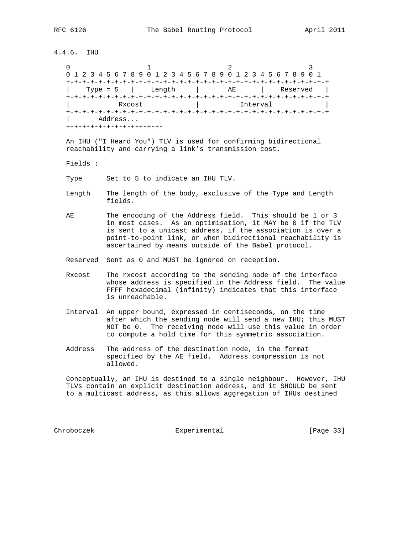4.4.6. IHU

| 0 1 2 3 4 5 6 7 8 9 0 1 2 3 4 5 6 7 8 9 0 1 2 3 4 5 6 7 8 9 0 1 |        |          |          |
|-----------------------------------------------------------------|--------|----------|----------|
|                                                                 |        |          |          |
| Type = $5$                                                      | Length | $A$ E    | Reserved |
| Rxcost                                                          |        | Interval |          |
|                                                                 |        |          |          |
| Address                                                         |        |          |          |
|                                                                 |        |          |          |

 An IHU ("I Heard You") TLV is used for confirming bidirectional reachability and carrying a link's transmission cost.

- Fields :
- Type Set to 5 to indicate an IHU TLV.
- Length The length of the body, exclusive of the Type and Length fields.
- AE The encoding of the Address field. This should be 1 or 3 in most cases. As an optimisation, it MAY be 0 if the TLV is sent to a unicast address, if the association is over a point-to-point link, or when bidirectional reachability is ascertained by means outside of the Babel protocol.
- Reserved Sent as 0 and MUST be ignored on reception.
- Rxcost The rxcost according to the sending node of the interface whose address is specified in the Address field. The value FFFF hexadecimal (infinity) indicates that this interface is unreachable.
- Interval An upper bound, expressed in centiseconds, on the time after which the sending node will send a new IHU; this MUST NOT be 0. The receiving node will use this value in order to compute a hold time for this symmetric association.
- Address The address of the destination node, in the format specified by the AE field. Address compression is not allowed.

 Conceptually, an IHU is destined to a single neighbour. However, IHU TLVs contain an explicit destination address, and it SHOULD be sent to a multicast address, as this allows aggregation of IHUs destined

Chroboczek Experimental [Page 33]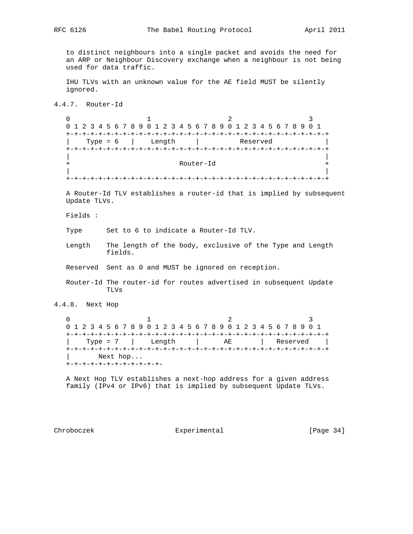to distinct neighbours into a single packet and avoids the need for an ARP or Neighbour Discovery exchange when a neighbour is not being used for data traffic.

 IHU TLVs with an unknown value for the AE field MUST be silently ignored.

4.4.7. Router-Id

 $\begin{array}{ccccccc}\n0 & & & 1 & & & 2 & & 3\n\end{array}$  0 1 2 3 4 5 6 7 8 9 0 1 2 3 4 5 6 7 8 9 0 1 2 3 4 5 6 7 8 9 0 1 +-+-+-+-+-+-+-+-+-+-+-+-+-+-+-+-+-+-+-+-+-+-+-+-+-+-+-+-+-+-+-+-+ Length | +-+-+-+-+-+-+-+-+-+-+-+-+-+-+-+-+-+-+-+-+-+-+-+-+-+-+-+-+-+-+-+-+ | | + Router-Id + | | +-+-+-+-+-+-+-+-+-+-+-+-+-+-+-+-+-+-+-+-+-+-+-+-+-+-+-+-+-+-+-+-+

 A Router-Id TLV establishes a router-id that is implied by subsequent Update TLVs.

Fields :

Type Set to 6 to indicate a Router-Id TLV.

 Length The length of the body, exclusive of the Type and Length fields.

Reserved Sent as 0 and MUST be ignored on reception.

 Router-Id The router-id for routes advertised in subsequent Update TLVs

4.4.8. Next Hop

| 0 1 2 3 4 5 6 7 8 9 0 1 2 3 4 5 6 7 8 9 0 1 2 3 4 5 6 7 8 9 0 1 |        |    |          |
|-----------------------------------------------------------------|--------|----|----------|
|                                                                 |        |    |          |
| Type = $7$                                                      | Length | AE | Reserved |
|                                                                 |        |    |          |
| Next hop                                                        |        |    |          |
|                                                                 |        |    |          |

 A Next Hop TLV establishes a next-hop address for a given address family (IPv4 or IPv6) that is implied by subsequent Update TLVs.

Chroboczek **Experimental** [Page 34]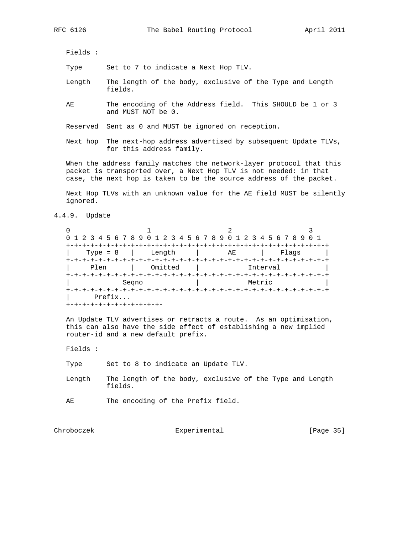Fields :

Type Set to 7 to indicate a Next Hop TLV.

- Length The length of the body, exclusive of the Type and Length fields.
- AE The encoding of the Address field. This SHOULD be 1 or 3 and MUST NOT be 0.

Reserved Sent as 0 and MUST be ignored on reception.

 Next hop The next-hop address advertised by subsequent Update TLVs, for this address family.

 When the address family matches the network-layer protocol that this packet is transported over, a Next Hop TLV is not needed: in that case, the next hop is taken to be the source address of the packet.

 Next Hop TLVs with an unknown value for the AE field MUST be silently ignored.

4.4.9. Update

| 0 1 2 3 4 5 6 7 8 9 0 1 2 3 4 5 6 7 8 9 0 1 2 3 4 5 6 7 8 9 0 1 |         |                                      |          |
|-----------------------------------------------------------------|---------|--------------------------------------|----------|
|                                                                 |         |                                      |          |
| Type = $8$                                                      | Length  | AE                                   | Flaqs    |
|                                                                 |         |                                      |          |
| Plen                                                            | Omitted |                                      | Interval |
|                                                                 |         |                                      |          |
| Segno                                                           |         |                                      | Metric   |
|                                                                 |         | +-+-+-+-+-+-+-+-+-+-+-+-+-+-+-+-+-+- |          |
| Prefix                                                          |         |                                      |          |
| +-+-+-+-                                                        |         |                                      |          |

 An Update TLV advertises or retracts a route. As an optimisation, this can also have the side effect of establishing a new implied router-id and a new default prefix.

Fields :

Type Set to 8 to indicate an Update TLV.

- Length The length of the body, exclusive of the Type and Length fields.
- AE The encoding of the Prefix field.

Chroboczek Experimental [Page 35]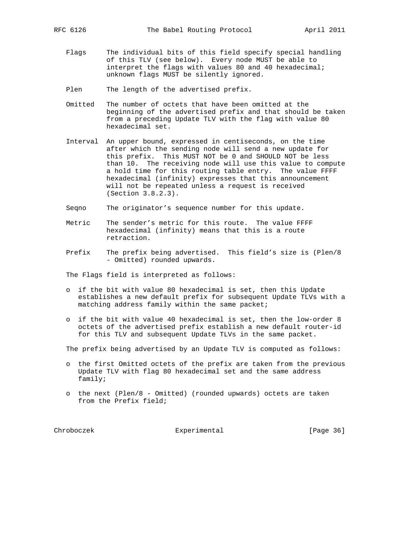- Flags The individual bits of this field specify special handling of this TLV (see below). Every node MUST be able to interpret the flags with values 80 and 40 hexadecimal; unknown flags MUST be silently ignored.
- Plen The length of the advertised prefix.
- Omitted The number of octets that have been omitted at the beginning of the advertised prefix and that should be taken from a preceding Update TLV with the flag with value 80 hexadecimal set.
- Interval An upper bound, expressed in centiseconds, on the time after which the sending node will send a new update for this prefix. This MUST NOT be 0 and SHOULD NOT be less than 10. The receiving node will use this value to compute a hold time for this routing table entry. The value FFFF hexadecimal (infinity) expresses that this announcement will not be repeated unless a request is received (Section 3.8.2.3).
- Seqno The originator's sequence number for this update.
- Metric The sender's metric for this route. The value FFFF hexadecimal (infinity) means that this is a route retraction.
- Prefix The prefix being advertised. This field's size is (Plen/8 - Omitted) rounded upwards.

The Flags field is interpreted as follows:

- o if the bit with value 80 hexadecimal is set, then this Update establishes a new default prefix for subsequent Update TLVs with a matching address family within the same packet;
- o if the bit with value 40 hexadecimal is set, then the low-order 8 octets of the advertised prefix establish a new default router-id for this TLV and subsequent Update TLVs in the same packet.

The prefix being advertised by an Update TLV is computed as follows:

- o the first Omitted octets of the prefix are taken from the previous Update TLV with flag 80 hexadecimal set and the same address family;
- o the next (Plen/8 Omitted) (rounded upwards) octets are taken from the Prefix field;

Chroboczek **Experimental** [Page 36]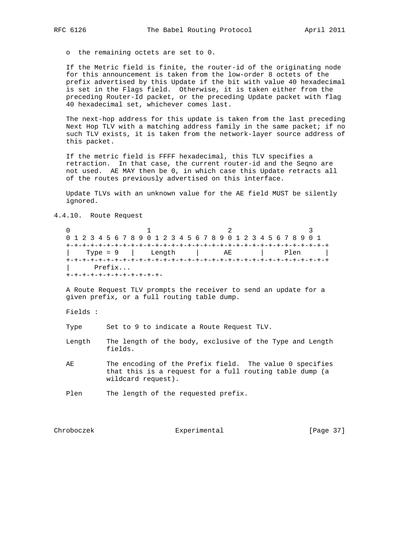o the remaining octets are set to 0.

 If the Metric field is finite, the router-id of the originating node for this announcement is taken from the low-order 8 octets of the prefix advertised by this Update if the bit with value 40 hexadecimal is set in the Flags field. Otherwise, it is taken either from the preceding Router-Id packet, or the preceding Update packet with flag 40 hexadecimal set, whichever comes last.

 The next-hop address for this update is taken from the last preceding Next Hop TLV with a matching address family in the same packet; if no such TLV exists, it is taken from the network-layer source address of this packet.

 If the metric field is FFFF hexadecimal, this TLV specifies a retraction. In that case, the current router-id and the Seqno are not used. AE MAY then be 0, in which case this Update retracts all of the routes previously advertised on this interface.

 Update TLVs with an unknown value for the AE field MUST be silently ignored.

4.4.10. Route Request

0  $1$  2 3 0 1 2 3 4 5 6 7 8 9 0 1 2 3 4 5 6 7 8 9 0 1 2 3 4 5 6 7 8 9 0 1 +-+-+-+-+-+-+-+-+-+-+-+-+-+-+-+-+-+-+-+-+-+-+-+-+-+-+-+-+-+-+-+-+ | Type = 9 | Length | AE | Plen | +-+-+-+-+-+-+-+-+-+-+-+-+-+-+-+-+-+-+-+-+-+-+-+-+-+-+-+-+-+-+-+-+ | Prefix... +-+-+-+-+-+-+-+-+-+-+-+-

 A Route Request TLV prompts the receiver to send an update for a given prefix, or a full routing table dump.

Fields :

Type Set to 9 to indicate a Route Request TLV.

- Length The length of the body, exclusive of the Type and Length fields.
- AE The encoding of the Prefix field. The value 0 specifies that this is a request for a full routing table dump (a wildcard request).

Plen The length of the requested prefix.

Chroboczek Experimental [Page 37]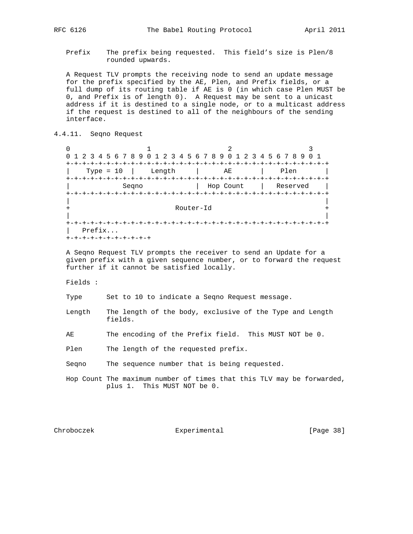Prefix The prefix being requested. This field's size is Plen/8 rounded upwards.

 A Request TLV prompts the receiving node to send an update message for the prefix specified by the AE, Plen, and Prefix fields, or a full dump of its routing table if AE is 0 (in which case Plen MUST be 0, and Prefix is of length 0). A Request may be sent to a unicast address if it is destined to a single node, or to a multicast address if the request is destined to all of the neighbours of the sending interface.

4.4.11. Seqno Request

0  $1$  2 3 0 1 2 3 4 5 6 7 8 9 0 1 2 3 4 5 6 7 8 9 0 1 2 3 4 5 6 7 8 9 0 1 +-+-+-+-+-+-+-+-+-+-+-+-+-+-+-+-+-+-+-+-+-+-+-+-+-+-+-+-+-+-+-+-+ | Type = 10 | Length | AE | Plen | +-+-+-+-+-+-+-+-+-+-+-+-+-+-+-+-+-+-+-+-+-+-+-+-+-+-+-+-+-+-+-+-+ | Seqno | Hop Count | Reserved | +-+-+-+-+-+-+-+-+-+-+-+-+-+-+-+-+-+-+-+-+-+-+-+-+-+-+-+-+-+-+-+-+ | | Router-Id | | +-+-+-+-+-+-+-+-+-+-+-+-+-+-+-+-+-+-+-+-+-+-+-+-+-+-+-+-+-+-+-+-+ | Prefix... +-+-+-+-+-+-+-+-+-+-+

 A Seqno Request TLV prompts the receiver to send an Update for a given prefix with a given sequence number, or to forward the request further if it cannot be satisfied locally.

Fields :

Type Set to 10 to indicate a Seqno Request message.

 Length The length of the body, exclusive of the Type and Length fields.

AE The encoding of the Prefix field. This MUST NOT be 0.

Plen The length of the requested prefix.

Seqno The sequence number that is being requested.

 Hop Count The maximum number of times that this TLV may be forwarded, plus 1. This MUST NOT be 0.

Chroboczek **Experimental** [Page 38]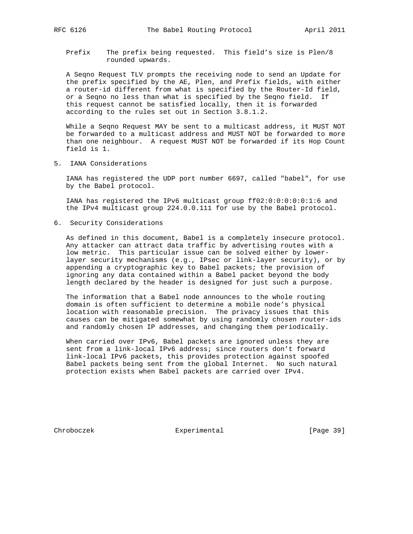Prefix The prefix being requested. This field's size is Plen/8 rounded upwards.

 A Seqno Request TLV prompts the receiving node to send an Update for the prefix specified by the AE, Plen, and Prefix fields, with either a router-id different from what is specified by the Router-Id field, or a Seqno no less than what is specified by the Seqno field. If this request cannot be satisfied locally, then it is forwarded according to the rules set out in Section 3.8.1.2.

 While a Seqno Request MAY be sent to a multicast address, it MUST NOT be forwarded to a multicast address and MUST NOT be forwarded to more than one neighbour. A request MUST NOT be forwarded if its Hop Count field is 1.

5. IANA Considerations

 IANA has registered the UDP port number 6697, called "babel", for use by the Babel protocol.

 IANA has registered the IPv6 multicast group ff02:0:0:0:0:0:1:6 and the IPv4 multicast group 224.0.0.111 for use by the Babel protocol.

6. Security Considerations

 As defined in this document, Babel is a completely insecure protocol. Any attacker can attract data traffic by advertising routes with a low metric. This particular issue can be solved either by lower layer security mechanisms (e.g., IPsec or link-layer security), or by appending a cryptographic key to Babel packets; the provision of ignoring any data contained within a Babel packet beyond the body length declared by the header is designed for just such a purpose.

 The information that a Babel node announces to the whole routing domain is often sufficient to determine a mobile node's physical location with reasonable precision. The privacy issues that this causes can be mitigated somewhat by using randomly chosen router-ids and randomly chosen IP addresses, and changing them periodically.

 When carried over IPv6, Babel packets are ignored unless they are sent from a link-local IPv6 address; since routers don't forward link-local IPv6 packets, this provides protection against spoofed Babel packets being sent from the global Internet. No such natural protection exists when Babel packets are carried over IPv4.

Chroboczek Experimental [Page 39]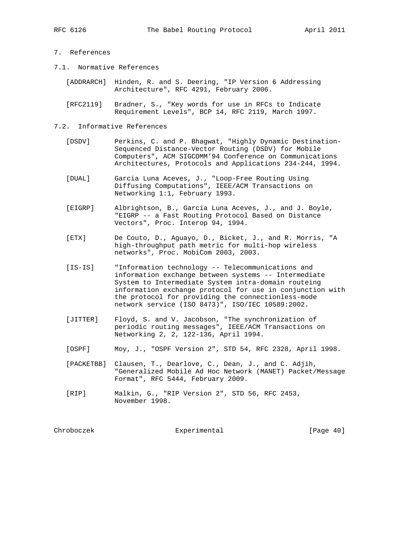# 7. References

- 7.1. Normative References
	- [ADDRARCH] Hinden, R. and S. Deering, "IP Version 6 Addressing Architecture", RFC 4291, February 2006.
	- [RFC2119] Bradner, S., "Key words for use in RFCs to Indicate Requirement Levels", BCP 14, RFC 2119, March 1997.

#### 7.2. Informative References

- [DSDV] Perkins, C. and P. Bhagwat, "Highly Dynamic Destination- Sequenced Distance-Vector Routing (DSDV) for Mobile Computers", ACM SIGCOMM'94 Conference on Communications Architectures, Protocols and Applications 234-244, 1994.
- [DUAL] Garcia Luna Aceves, J., "Loop-Free Routing Using Diffusing Computations", IEEE/ACM Transactions on Networking 1:1, February 1993.
- [EIGRP] Albrightson, B., Garcia Luna Aceves, J., and J. Boyle, "EIGRP -- a Fast Routing Protocol Based on Distance Vectors", Proc. Interop 94, 1994.
- [ETX] De Couto, D., Aguayo, D., Bicket, J., and R. Morris, "A high-throughput path metric for multi-hop wireless networks", Proc. MobiCom 2003, 2003.
- [IS-IS] "Information technology -- Telecommunications and information exchange between systems -- Intermediate System to Intermediate System intra-domain routeing information exchange protocol for use in conjunction with the protocol for providing the connectionless-mode network service (ISO 8473)", ISO/IEC 10589:2002.
- [JITTER] Floyd, S. and V. Jacobson, "The synchronization of periodic routing messages", IEEE/ACM Transactions on Networking 2, 2, 122-136, April 1994.
	- [OSPF] Moy, J., "OSPF Version 2", STD 54, RFC 2328, April 1998.
	- [PACKETBB] Clausen, T., Dearlove, C., Dean, J., and C. Adjih, "Generalized Mobile Ad Hoc Network (MANET) Packet/Message Format", RFC 5444, February 2009.
	- [RIP] Malkin, G., "RIP Version 2", STD 56, RFC 2453, November 1998.

Chroboczek Experimental [Page 40]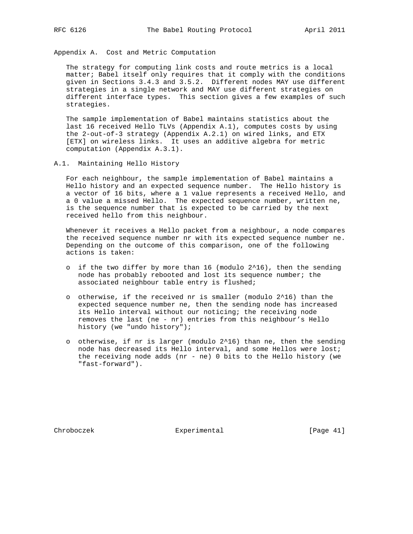Appendix A. Cost and Metric Computation

 The strategy for computing link costs and route metrics is a local matter; Babel itself only requires that it comply with the conditions given in Sections 3.4.3 and 3.5.2. Different nodes MAY use different strategies in a single network and MAY use different strategies on different interface types. This section gives a few examples of such strategies.

 The sample implementation of Babel maintains statistics about the last 16 received Hello TLVs (Appendix A.1), computes costs by using the 2-out-of-3 strategy (Appendix A.2.1) on wired links, and ETX [ETX] on wireless links. It uses an additive algebra for metric computation (Appendix A.3.1).

A.1. Maintaining Hello History

 For each neighbour, the sample implementation of Babel maintains a Hello history and an expected sequence number. The Hello history is a vector of 16 bits, where a 1 value represents a received Hello, and a 0 value a missed Hello. The expected sequence number, written ne, is the sequence number that is expected to be carried by the next received hello from this neighbour.

 Whenever it receives a Hello packet from a neighbour, a node compares the received sequence number nr with its expected sequence number ne. Depending on the outcome of this comparison, one of the following actions is taken:

- o if the two differ by more than 16 (modulo  $2^16$ ), then the sending node has probably rebooted and lost its sequence number; the associated neighbour table entry is flushed;
- o otherwise, if the received nr is smaller (modulo 2^16) than the expected sequence number ne, then the sending node has increased its Hello interval without our noticing; the receiving node removes the last (ne - nr) entries from this neighbour's Hello history (we "undo history");
- o otherwise, if nr is larger (modulo 2^16) than ne, then the sending node has decreased its Hello interval, and some Hellos were lost; the receiving node adds (nr - ne) 0 bits to the Hello history (we "fast-forward").

Chroboczek Experimental [Page 41]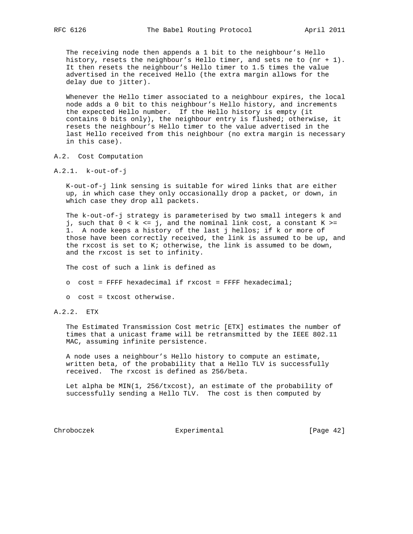The receiving node then appends a 1 bit to the neighbour's Hello history, resets the neighbour's Hello timer, and sets ne to (nr + 1). It then resets the neighbour's Hello timer to 1.5 times the value advertised in the received Hello (the extra margin allows for the delay due to jitter).

 Whenever the Hello timer associated to a neighbour expires, the local node adds a 0 bit to this neighbour's Hello history, and increments the expected Hello number. If the Hello history is empty (it contains 0 bits only), the neighbour entry is flushed; otherwise, it resets the neighbour's Hello timer to the value advertised in the last Hello received from this neighbour (no extra margin is necessary in this case).

- A.2. Cost Computation
- A.2.1. k-out-of-j

 K-out-of-j link sensing is suitable for wired links that are either up, in which case they only occasionally drop a packet, or down, in which case they drop all packets.

 The k-out-of-j strategy is parameterised by two small integers k and j, such that  $0 < k \le j$ , and the nominal link cost, a constant  $K \ge j$  1. A node keeps a history of the last j hellos; if k or more of those have been correctly received, the link is assumed to be up, and the rxcost is set to K; otherwise, the link is assumed to be down, and the rxcost is set to infinity.

The cost of such a link is defined as

- o cost = FFFF hexadecimal if rxcost = FFFF hexadecimal;
- o cost = txcost otherwise.
- A.2.2. ETX

 The Estimated Transmission Cost metric [ETX] estimates the number of times that a unicast frame will be retransmitted by the IEEE 802.11 MAC, assuming infinite persistence.

 A node uses a neighbour's Hello history to compute an estimate, written beta, of the probability that a Hello TLV is successfully received. The rxcost is defined as 256/beta.

 Let alpha be MIN(1, 256/txcost), an estimate of the probability of successfully sending a Hello TLV. The cost is then computed by

Chroboczek Experimental [Page 42]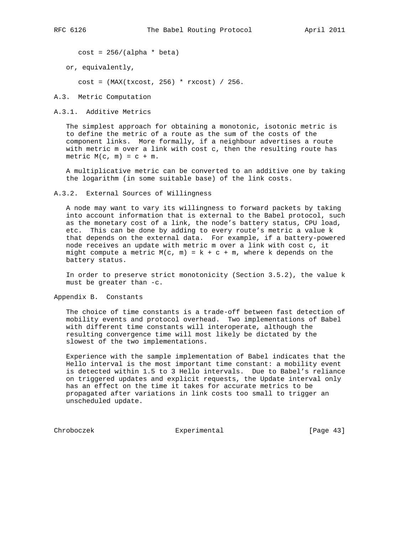$cost = 256/(alpha * beta)$ 

or, equivalently,

cost = (MAX(txcost, 256) \* rxcost) / 256.

A.3. Metric Computation

A.3.1. Additive Metrics

 The simplest approach for obtaining a monotonic, isotonic metric is to define the metric of a route as the sum of the costs of the component links. More formally, if a neighbour advertises a route with metric m over a link with cost c, then the resulting route has metric  $M(c, m) = c + m$ .

 A multiplicative metric can be converted to an additive one by taking the logarithm (in some suitable base) of the link costs.

A.3.2. External Sources of Willingness

 A node may want to vary its willingness to forward packets by taking into account information that is external to the Babel protocol, such as the monetary cost of a link, the node's battery status, CPU load, etc. This can be done by adding to every route's metric a value k that depends on the external data. For example, if a battery-powered node receives an update with metric m over a link with cost c, it might compute a metric  $M(c, m) = k + c + m$ , where k depends on the battery status.

 In order to preserve strict monotonicity (Section 3.5.2), the value k must be greater than -c.

Appendix B. Constants

 The choice of time constants is a trade-off between fast detection of mobility events and protocol overhead. Two implementations of Babel with different time constants will interoperate, although the resulting convergence time will most likely be dictated by the slowest of the two implementations.

 Experience with the sample implementation of Babel indicates that the Hello interval is the most important time constant: a mobility event is detected within 1.5 to 3 Hello intervals. Due to Babel's reliance on triggered updates and explicit requests, the Update interval only has an effect on the time it takes for accurate metrics to be propagated after variations in link costs too small to trigger an unscheduled update.

Chroboczek Experimental [Page 43]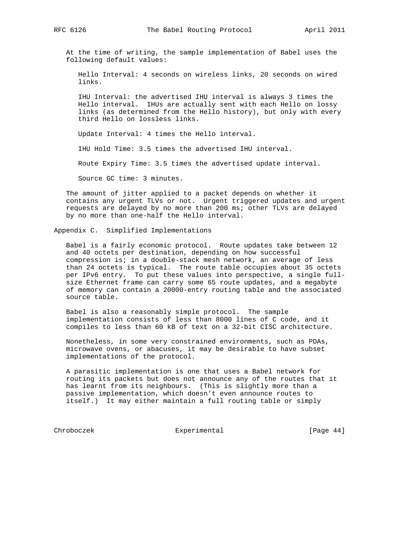At the time of writing, the sample implementation of Babel uses the following default values:

 Hello Interval: 4 seconds on wireless links, 20 seconds on wired links.

 IHU Interval: the advertised IHU interval is always 3 times the Hello interval. IHUs are actually sent with each Hello on lossy links (as determined from the Hello history), but only with every third Hello on lossless links.

Update Interval: 4 times the Hello interval.

IHU Hold Time: 3.5 times the advertised IHU interval.

Route Expiry Time: 3.5 times the advertised update interval.

Source GC time: 3 minutes.

 The amount of jitter applied to a packet depends on whether it contains any urgent TLVs or not. Urgent triggered updates and urgent requests are delayed by no more than 200 ms; other TLVs are delayed by no more than one-half the Hello interval.

Appendix C. Simplified Implementations

 Babel is a fairly economic protocol. Route updates take between 12 and 40 octets per destination, depending on how successful compression is; in a double-stack mesh network, an average of less than 24 octets is typical. The route table occupies about 35 octets per IPv6 entry. To put these values into perspective, a single full size Ethernet frame can carry some 65 route updates, and a megabyte of memory can contain a 20000-entry routing table and the associated source table.

 Babel is also a reasonably simple protocol. The sample implementation consists of less than 8000 lines of C code, and it compiles to less than 60 kB of text on a 32-bit CISC architecture.

 Nonetheless, in some very constrained environments, such as PDAs, microwave ovens, or abacuses, it may be desirable to have subset implementations of the protocol.

 A parasitic implementation is one that uses a Babel network for routing its packets but does not announce any of the routes that it has learnt from its neighbours. (This is slightly more than a passive implementation, which doesn't even announce routes to itself.) It may either maintain a full routing table or simply

Chroboczek Experimental [Page 44]